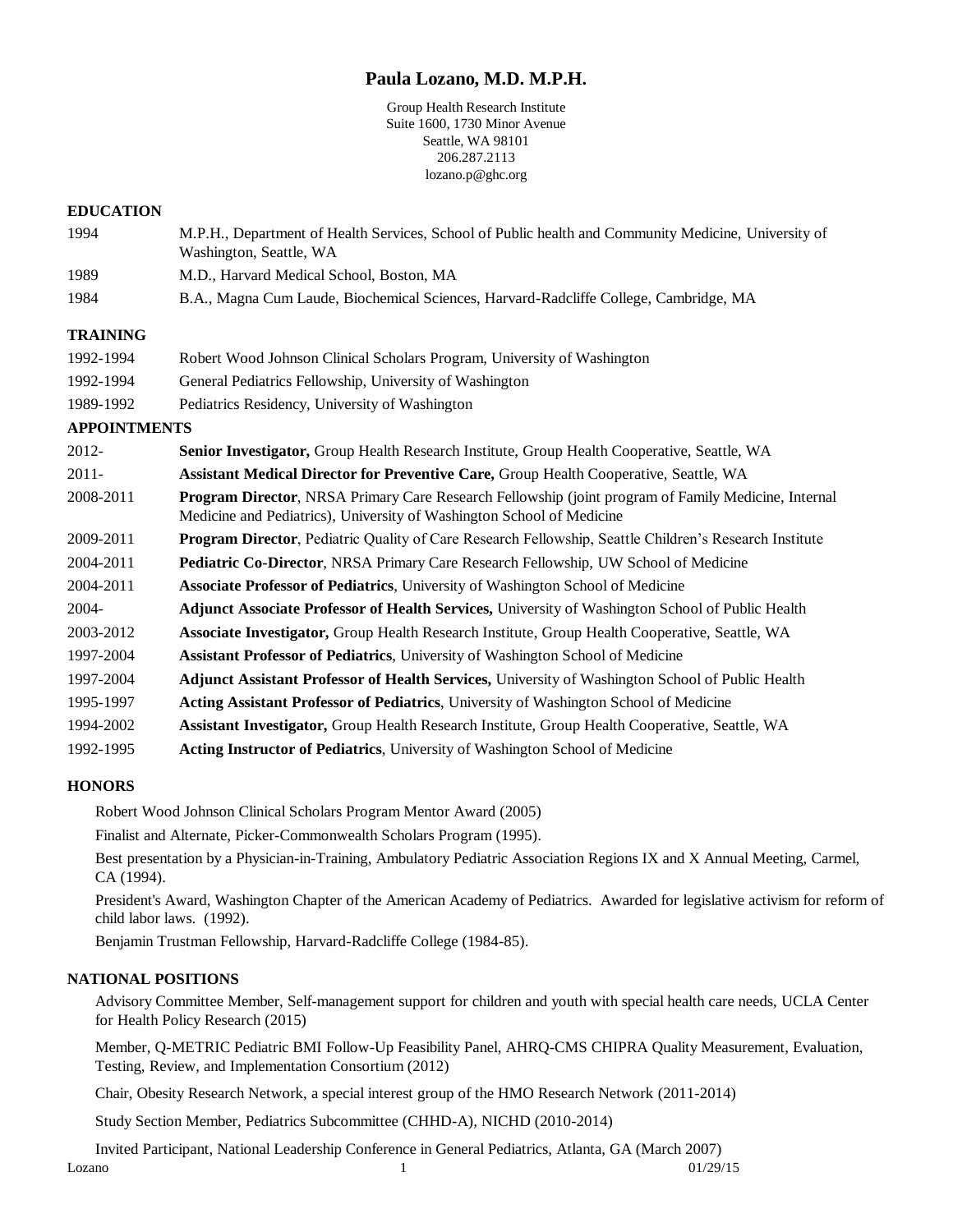# **Paula Lozano, M.D. M.P.H.**

Group Health Research Institute Suite 1600, 1730 Minor Avenue Seattle, WA 98101 206.287.2113 lozano.p@ghc.org

#### **EDUCATION**

- 1994 M.P.H., Department of Health Services, School of Public health and Community Medicine, University of Washington, Seattle, WA
- 1989 M.D., Harvard Medical School, Boston, MA
- 1984 B.A., Magna Cum Laude, Biochemical Sciences, Harvard-Radcliffe College, Cambridge, MA

## **TRAINING**

| 1992-1994 | Robert Wood Johnson Clinical Scholars Program, University of Washington |
|-----------|-------------------------------------------------------------------------|
| 1992-1994 | General Pediatrics Fellowship, University of Washington                 |
| 1989-1992 | Pediatrics Residency, University of Washington                          |

#### **APPOINTMENTS**

| 2012-     | Senior Investigator, Group Health Research Institute, Group Health Cooperative, Seattle, WA                                                                                  |
|-----------|------------------------------------------------------------------------------------------------------------------------------------------------------------------------------|
| $2011 -$  | <b>Assistant Medical Director for Preventive Care, Group Health Cooperative, Seattle, WA</b>                                                                                 |
| 2008-2011 | Program Director, NRSA Primary Care Research Fellowship (joint program of Family Medicine, Internal<br>Medicine and Pediatrics), University of Washington School of Medicine |
| 2009-2011 | <b>Program Director, Pediatric Quality of Care Research Fellowship, Seattle Children's Research Institute</b>                                                                |
| 2004-2011 | <b>Pediatric Co-Director, NRSA Primary Care Research Fellowship, UW School of Medicine</b>                                                                                   |
| 2004-2011 | <b>Associate Professor of Pediatrics, University of Washington School of Medicine</b>                                                                                        |
| 2004-     | Adjunct Associate Professor of Health Services, University of Washington School of Public Health                                                                             |
| 2003-2012 | Associate Investigator, Group Health Research Institute, Group Health Cooperative, Seattle, WA                                                                               |
| 1997-2004 | <b>Assistant Professor of Pediatrics, University of Washington School of Medicine</b>                                                                                        |
| 1997-2004 | Adjunct Assistant Professor of Health Services, University of Washington School of Public Health                                                                             |
| 1995-1997 | Acting Assistant Professor of Pediatrics, University of Washington School of Medicine                                                                                        |
| 1994-2002 | Assistant Investigator, Group Health Research Institute, Group Health Cooperative, Seattle, WA                                                                               |
| 1992-1995 | Acting Instructor of Pediatrics, University of Washington School of Medicine                                                                                                 |

## **HONORS**

Robert Wood Johnson Clinical Scholars Program Mentor Award (2005)

Finalist and Alternate, Picker-Commonwealth Scholars Program (1995).

Best presentation by a Physician-in-Training, Ambulatory Pediatric Association Regions IX and X Annual Meeting, Carmel, CA (1994).

President's Award, Washington Chapter of the American Academy of Pediatrics. Awarded for legislative activism for reform of child labor laws. (1992).

Benjamin Trustman Fellowship, Harvard-Radcliffe College (1984-85).

## **NATIONAL POSITIONS**

Advisory Committee Member, Self-management support for children and youth with special health care needs, UCLA Center for Health Policy Research (2015)

Member, Q-METRIC Pediatric BMI Follow-Up Feasibility Panel, AHRQ-CMS CHIPRA Quality Measurement, Evaluation, Testing, Review, and Implementation Consortium (2012)

Chair, Obesity Research Network, a special interest group of the HMO Research Network (2011-2014)

Study Section Member, Pediatrics Subcommittee (CHHD-A), NICHD (2010-2014)

Invited Participant, National Leadership Conference in General Pediatrics, Atlanta, GA (March 2007)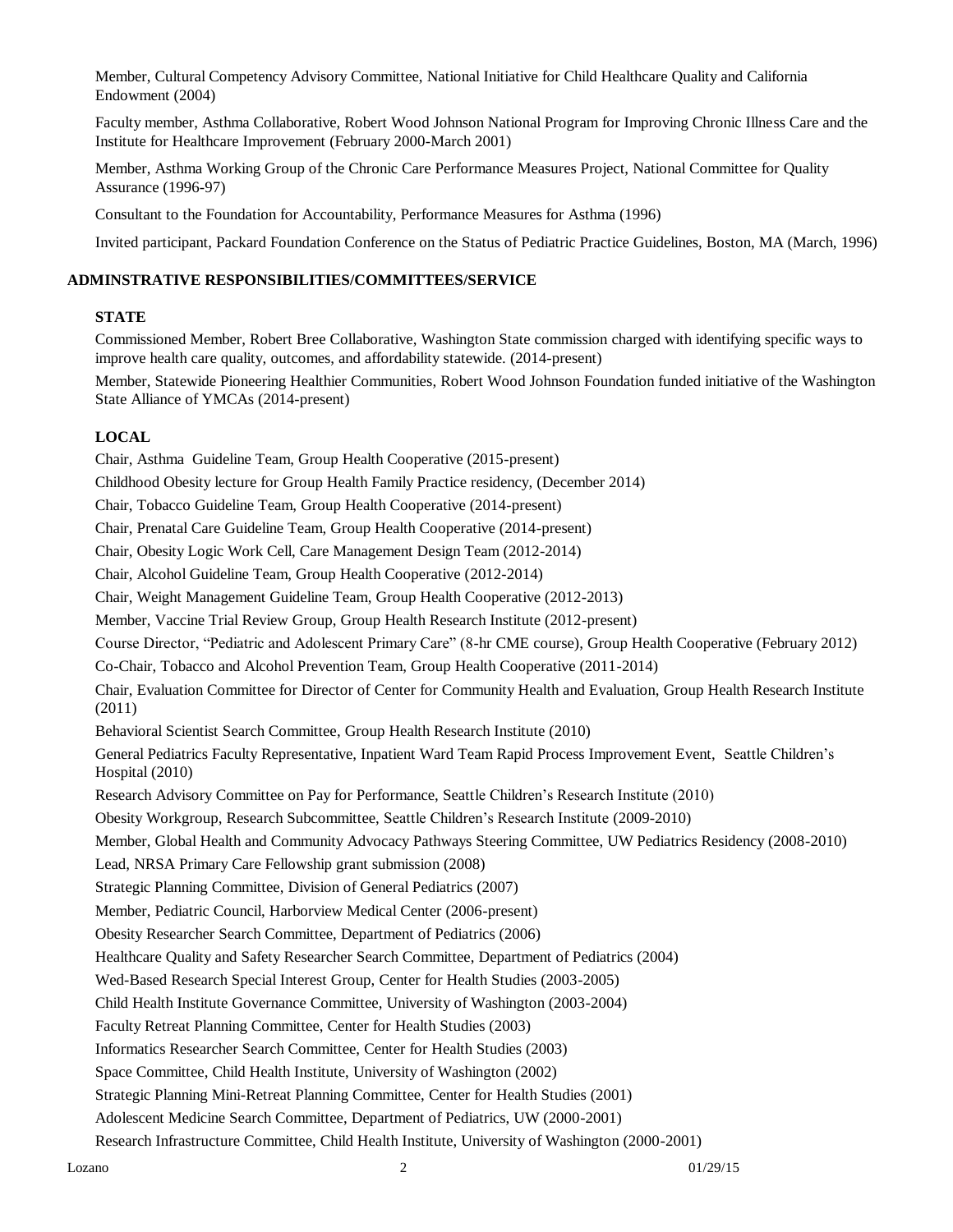Member, Cultural Competency Advisory Committee, National Initiative for Child Healthcare Quality and California Endowment (2004)

Faculty member, Asthma Collaborative, Robert Wood Johnson National Program for Improving Chronic Illness Care and the Institute for Healthcare Improvement (February 2000-March 2001)

Member, Asthma Working Group of the Chronic Care Performance Measures Project, National Committee for Quality Assurance (1996-97)

Consultant to the Foundation for Accountability, Performance Measures for Asthma (1996)

Invited participant, Packard Foundation Conference on the Status of Pediatric Practice Guidelines, Boston, MA (March, 1996)

#### **ADMINSTRATIVE RESPONSIBILITIES/COMMITTEES/SERVICE**

#### **STATE**

Commissioned Member, Robert Bree Collaborative, Washington State commission charged with identifying specific ways to improve health care quality, outcomes, and affordability statewide. (2014-present)

Member, Statewide Pioneering Healthier Communities, Robert Wood Johnson Foundation funded initiative of the Washington State Alliance of YMCAs (2014-present)

## **LOCAL**

Chair, Asthma Guideline Team, Group Health Cooperative (2015-present) Childhood Obesity lecture for Group Health Family Practice residency, (December 2014) Chair, Tobacco Guideline Team, Group Health Cooperative (2014-present) Chair, Prenatal Care Guideline Team, Group Health Cooperative (2014-present) Chair, Obesity Logic Work Cell, Care Management Design Team (2012-2014) Chair, Alcohol Guideline Team, Group Health Cooperative (2012-2014) Chair, Weight Management Guideline Team, Group Health Cooperative (2012-2013) Member, Vaccine Trial Review Group, Group Health Research Institute (2012-present) Course Director, "Pediatric and Adolescent Primary Care" (8-hr CME course), Group Health Cooperative (February 2012) Co-Chair, Tobacco and Alcohol Prevention Team, Group Health Cooperative (2011-2014) Chair, Evaluation Committee for Director of Center for Community Health and Evaluation, Group Health Research Institute (2011) Behavioral Scientist Search Committee, Group Health Research Institute (2010) General Pediatrics Faculty Representative, Inpatient Ward Team Rapid Process Improvement Event, Seattle Children's Hospital (2010) Research Advisory Committee on Pay for Performance, Seattle Children's Research Institute (2010) Obesity Workgroup, Research Subcommittee, Seattle Children's Research Institute (2009-2010) Member, Global Health and Community Advocacy Pathways Steering Committee, UW Pediatrics Residency (2008-2010) Lead, NRSA Primary Care Fellowship grant submission (2008) Strategic Planning Committee, Division of General Pediatrics (2007) Member, Pediatric Council, Harborview Medical Center (2006-present) Obesity Researcher Search Committee, Department of Pediatrics (2006) Healthcare Quality and Safety Researcher Search Committee, Department of Pediatrics (2004) Wed-Based Research Special Interest Group, Center for Health Studies (2003-2005) Child Health Institute Governance Committee, University of Washington (2003-2004) Faculty Retreat Planning Committee, Center for Health Studies (2003) Informatics Researcher Search Committee, Center for Health Studies (2003) Space Committee, Child Health Institute, University of Washington (2002) Strategic Planning Mini-Retreat Planning Committee, Center for Health Studies (2001) Adolescent Medicine Search Committee, Department of Pediatrics, UW (2000-2001)

Research Infrastructure Committee, Child Health Institute, University of Washington (2000-2001)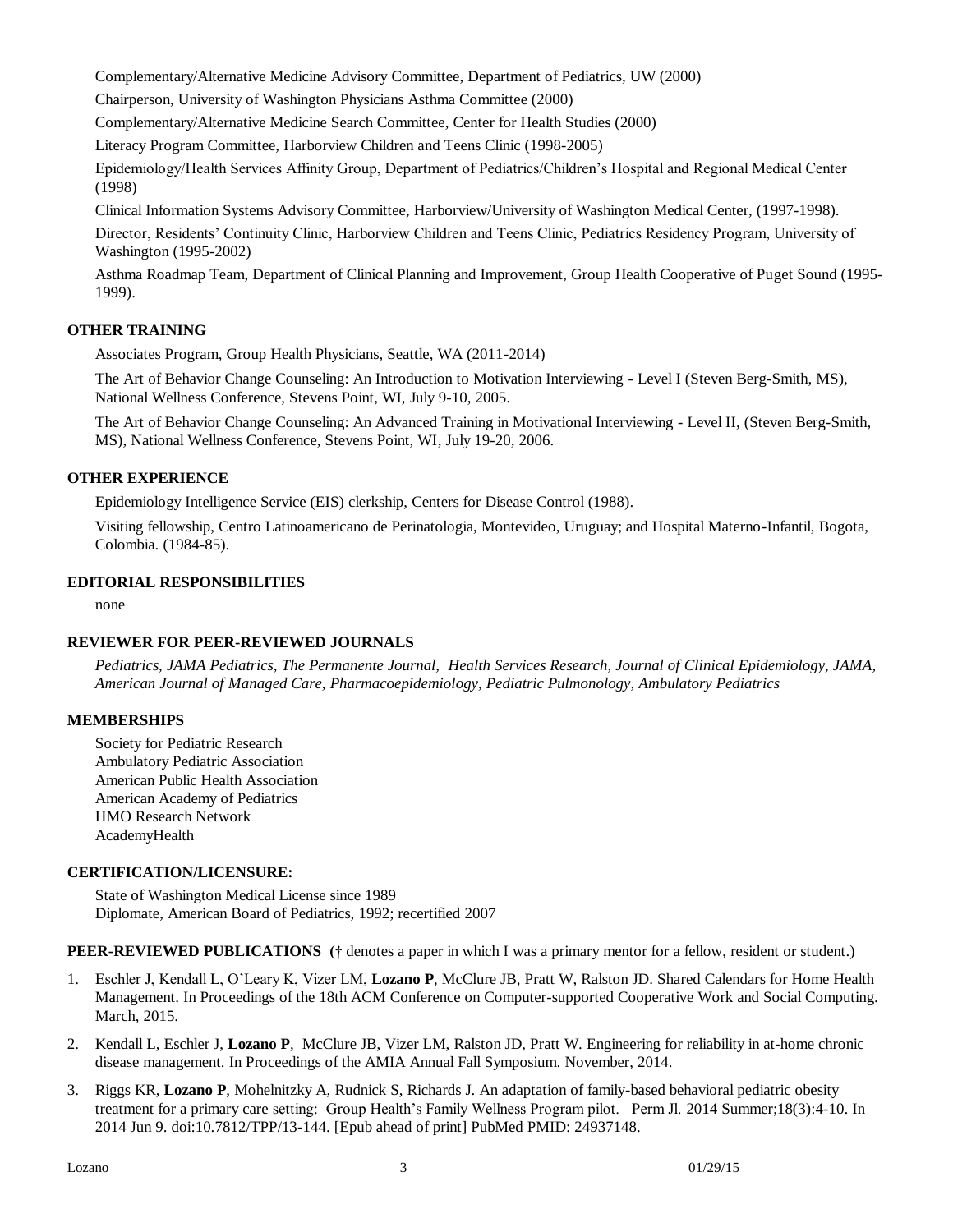Complementary/Alternative Medicine Advisory Committee, Department of Pediatrics, UW (2000)

Chairperson, University of Washington Physicians Asthma Committee (2000)

Complementary/Alternative Medicine Search Committee, Center for Health Studies (2000)

Literacy Program Committee, Harborview Children and Teens Clinic (1998-2005)

Epidemiology/Health Services Affinity Group, Department of Pediatrics/Children's Hospital and Regional Medical Center (1998)

Clinical Information Systems Advisory Committee, Harborview/University of Washington Medical Center, (1997-1998). Director, Residents' Continuity Clinic, Harborview Children and Teens Clinic, Pediatrics Residency Program, University of Washington (1995-2002)

Asthma Roadmap Team, Department of Clinical Planning and Improvement, Group Health Cooperative of Puget Sound (1995- 1999).

## **OTHER TRAINING**

Associates Program, Group Health Physicians, Seattle, WA (2011-2014)

The Art of Behavior Change Counseling: An Introduction to Motivation Interviewing - Level I (Steven Berg-Smith, MS), National Wellness Conference, Stevens Point, WI, July 9-10, 2005.

The Art of Behavior Change Counseling: An Advanced Training in Motivational Interviewing - Level II, (Steven Berg-Smith, MS), National Wellness Conference, Stevens Point, WI, July 19-20, 2006.

## **OTHER EXPERIENCE**

Epidemiology Intelligence Service (EIS) clerkship, Centers for Disease Control (1988).

Visiting fellowship, Centro Latinoamericano de Perinatologia, Montevideo, Uruguay; and Hospital Materno-Infantil, Bogota, Colombia. (1984-85).

## **EDITORIAL RESPONSIBILITIES**

none

## **REVIEWER FOR PEER-REVIEWED JOURNALS**

*Pediatrics, JAMA Pediatrics, The Permanente Journal, Health Services Research, Journal of Clinical Epidemiology, JAMA, American Journal of Managed Care, Pharmacoepidemiology, Pediatric Pulmonology, Ambulatory Pediatrics*

## **MEMBERSHIPS**

Society for Pediatric Research Ambulatory Pediatric Association American Public Health Association American Academy of Pediatrics HMO Research Network AcademyHealth

## **CERTIFICATION/LICENSURE:**

State of Washington Medical License since 1989 Diplomate, American Board of Pediatrics, 1992; recertified 2007

**PEER-REVIEWED PUBLICATIONS** († denotes a paper in which I was a primary mentor for a fellow, resident or student.)

- 1. Eschler J, Kendall L, O'Leary K, Vizer LM, **Lozano P**, McClure JB, Pratt W, Ralston JD. Shared Calendars for Home Health Management. In Proceedings of the 18th ACM Conference on Computer-supported Cooperative Work and Social Computing. March, 2015.
- 2. Kendall L, Eschler J, **Lozano P**, McClure JB, Vizer LM, Ralston JD, Pratt W. Engineering for reliability in at-home chronic disease management. In Proceedings of the AMIA Annual Fall Symposium. November, 2014.
- 3. Riggs KR, **Lozano P**, Mohelnitzky A, Rudnick S, Richards J. An adaptation of family-based behavioral pediatric obesity treatment for a primary care setting: Group Health's Family Wellness Program pilot. Perm Jl. 2014 Summer;18(3):4-10. In 2014 Jun 9. doi:10.7812/TPP/13-144. [Epub ahead of print] PubMed PMID: 24937148.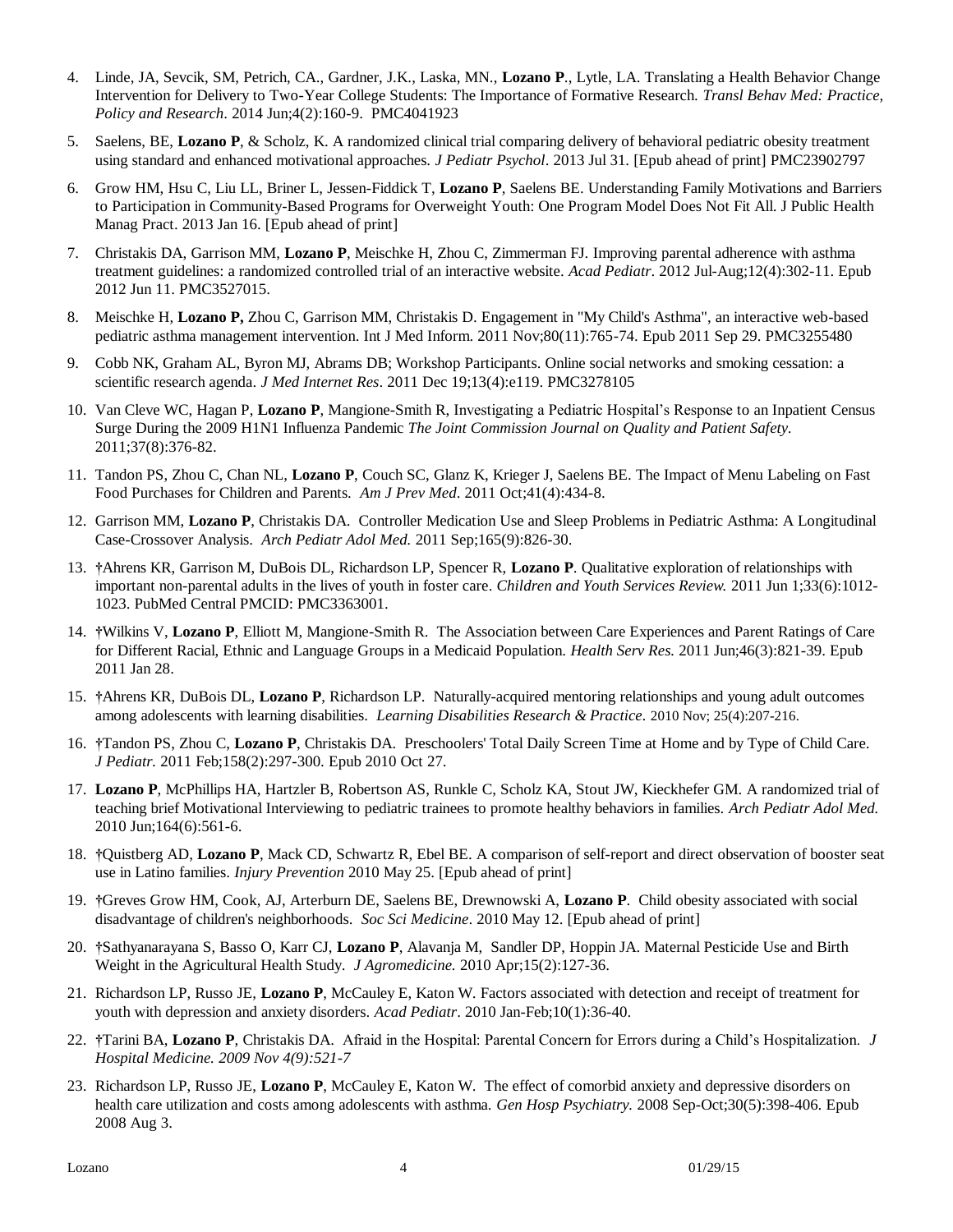- 4. Linde, JA, Sevcik, SM, Petrich, CA., Gardner, J.K., Laska, MN., **Lozano P**., Lytle, LA. Translating a Health Behavior Change Intervention for Delivery to Two-Year College Students: The Importance of Formative Research. *Transl Behav Med: Practice, Policy and Research*. 2014 Jun;4(2):160-9. PMC4041923
- 5. Saelens, BE, **Lozano P**, & Scholz, K. A randomized clinical trial comparing delivery of behavioral pediatric obesity treatment using standard and enhanced motivational approaches. *J Pediatr Psychol*. 2013 Jul 31. [Epub ahead of print] PMC23902797
- 6. Grow HM, Hsu C, Liu LL, Briner L, Jessen-Fiddick T, **Lozano P**, Saelens BE. Understanding Family Motivations and Barriers to Participation in Community-Based Programs for Overweight Youth: One Program Model Does Not Fit All. J Public Health Manag Pract. 2013 Jan 16. [Epub ahead of print]
- 7. Christakis DA, Garrison MM, **Lozano P**, Meischke H, Zhou C, Zimmerman FJ. Improving parental adherence with asthma treatment guidelines: a randomized controlled trial of an interactive website. *Acad Pediatr*. 2012 Jul-Aug;12(4):302-11. Epub 2012 Jun 11. PMC3527015.
- 8. Meischke H, **Lozano P,** Zhou C, Garrison MM, Christakis D. Engagement in "My Child's Asthma", an interactive web-based pediatric asthma management intervention. Int J Med Inform. 2011 Nov;80(11):765-74. Epub 2011 Sep 29. PMC3255480
- 9. Cobb NK, Graham AL, Byron MJ, Abrams DB; Workshop Participants. Online social networks and smoking cessation: a scientific research agenda. *J Med Internet Res*. 2011 Dec 19;13(4):e119. PMC3278105
- 10. Van Cleve WC, Hagan P, **Lozano P**, Mangione-Smith R, Investigating a Pediatric Hospital's Response to an Inpatient Census Surge During the 2009 H1N1 Influenza Pandemic *The Joint Commission Journal on Quality and Patient Safety.*  2011;37(8):376-82.
- 11. Tandon PS, Zhou C, Chan NL, **Lozano P**, Couch SC, Glanz K, Krieger J, Saelens BE. The Impact of Menu Labeling on Fast Food Purchases for Children and Parents. *Am J Prev Med*. 2011 Oct;41(4):434-8.
- 12. Garrison MM, **Lozano P**, Christakis DA. Controller Medication Use and Sleep Problems in Pediatric Asthma: A Longitudinal Case-Crossover Analysis. *Arch Pediatr Adol Med.* 2011 Sep;165(9):826-30.
- 13. **†**Ahrens KR, Garrison M, DuBois DL, Richardson LP, Spencer R, **Lozano P**. Qualitative exploration of relationships with important non-parental adults in the lives of youth in foster care. *Children and Youth Services Review.* 2011 Jun 1;33(6):1012- 1023. PubMed Central PMCID: PMC3363001.
- 14. **†**Wilkins V, **Lozano P**, Elliott M, Mangione-Smith R. The Association between Care Experiences and Parent Ratings of Care for Different Racial, Ethnic and Language Groups in a Medicaid Population. *Health Serv Res.* 2011 Jun;46(3):821-39. Epub 2011 Jan 28.
- 15. **†**Ahrens KR, DuBois DL, **Lozano P**, Richardson LP. Naturally-acquired mentoring relationships and young adult outcomes among adolescents with learning disabilities. *Learning Disabilities Research & Practice.* 2010 Nov; 25(4):207-216.
- 16. **†**Tandon PS, Zhou C, **Lozano P**, Christakis DA. Preschoolers' Total Daily Screen Time at Home and by Type of Child Care. *J Pediatr.* 2011 Feb;158(2):297-300. Epub 2010 Oct 27.
- 17. **Lozano P**, McPhillips HA, Hartzler B, Robertson AS, Runkle C, Scholz KA, Stout JW, Kieckhefer GM. A randomized trial of teaching brief Motivational Interviewing to pediatric trainees to promote healthy behaviors in families. *Arch Pediatr Adol Med.* 2010 Jun;164(6):561-6.
- 18. **†**Quistberg AD, **Lozano P**, Mack CD, Schwartz R, Ebel BE. A comparison of self-report and direct observation of booster seat use in Latino families. *Injury Prevention* 2010 May 25. [Epub ahead of print]
- 19. **†**Greves Grow HM, Cook, AJ, Arterburn DE, Saelens BE, Drewnowski A, **Lozano P**. Child obesity associated with social disadvantage of children's neighborhoods. *Soc Sci Medicine*. 2010 May 12. [Epub ahead of print]
- 20. **†**Sathyanarayana S, Basso O, Karr CJ, **Lozano P**, Alavanja M, Sandler DP, Hoppin JA. Maternal Pesticide Use and Birth Weight in the Agricultural Health Study. *J Agromedicine.* 2010 Apr;15(2):127-36.
- 21. Richardson LP, Russo JE, **Lozano P**, McCauley E, Katon W. Factors associated with detection and receipt of treatment for youth with depression and anxiety disorders. *Acad Pediatr*. 2010 Jan-Feb;10(1):36-40.
- 22. **†**Tarini BA, **Lozano P**, Christakis DA. Afraid in the Hospital: Parental Concern for Errors during a Child's Hospitalization. *J Hospital Medicine. 2009 Nov 4(9):521-7*
- 23. Richardson LP, Russo JE, **Lozano P**, McCauley E, Katon W. The effect of comorbid anxiety and depressive disorders on health care utilization and costs among adolescents with asthma. *Gen Hosp Psychiatry.* 2008 Sep-Oct;30(5):398-406. Epub 2008 Aug 3.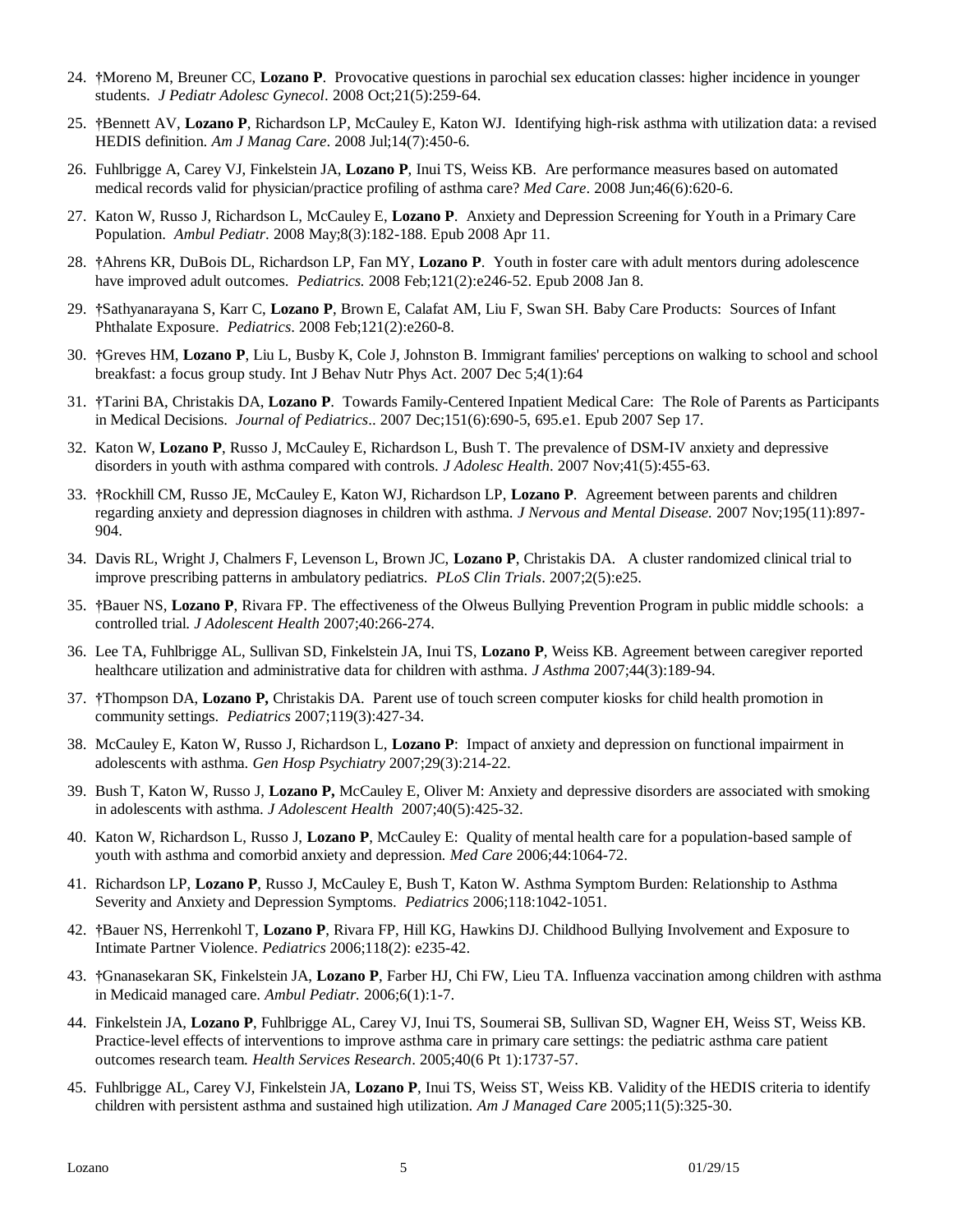- 24. **†**Moreno M, Breuner CC, **Lozano P**. Provocative questions in parochial sex education classes: higher incidence in younger students. *J Pediatr Adolesc Gynecol*. 2008 Oct;21(5):259-64.
- 25. **†**Bennett AV, **Lozano P**, Richardson LP, McCauley E, Katon WJ. Identifying high-risk asthma with utilization data: a revised HEDIS definition. *Am J Manag Care*. 2008 Jul;14(7):450-6.
- 26. Fuhlbrigge A, Carey VJ, Finkelstein JA, **Lozano P**, Inui TS, Weiss KB. Are performance measures based on automated medical records valid for physician/practice profiling of asthma care? *Med Care*. 2008 Jun;46(6):620-6.
- 27. Katon W, Russo J, Richardson L, McCauley E, **Lozano P**. Anxiety and Depression Screening for Youth in a Primary Care Population. *Ambul Pediatr*. 2008 May;8(3):182-188. Epub 2008 Apr 11.
- 28. **†**Ahrens KR, DuBois DL, Richardson LP, Fan MY, **Lozano P**. Youth in foster care with adult mentors during adolescence have improved adult outcomes. *Pediatrics.* 2008 Feb;121(2):e246-52. Epub 2008 Jan 8.
- 29. **†**Sathyanarayana S, Karr C, **Lozano P**, Brown E, Calafat AM, Liu F, Swan SH. Baby Care Products: Sources of Infant Phthalate Exposure. *Pediatrics*. 2008 Feb;121(2):e260-8.
- 30. **†**Greves HM, **Lozano P**, Liu L, Busby K, Cole J, Johnston B. Immigrant families' perceptions on walking to school and school breakfast: a focus group study. Int J Behav Nutr Phys Act. 2007 Dec 5;4(1):64
- 31. **†**Tarini BA, Christakis DA, **Lozano P**. Towards Family-Centered Inpatient Medical Care: The Role of Parents as Participants in Medical Decisions. *Journal of Pediatrics*.. 2007 Dec;151(6):690-5, 695.e1. Epub 2007 Sep 17.
- 32. Katon W, **Lozano P**, Russo J, McCauley E, Richardson L, Bush T. The prevalence of DSM-IV anxiety and depressive disorders in youth with asthma compared with controls. *J Adolesc Health*. 2007 Nov;41(5):455-63.
- 33. **†**Rockhill CM, Russo JE, McCauley E, Katon WJ, Richardson LP, **Lozano P**. Agreement between parents and children regarding anxiety and depression diagnoses in children with asthma. *J Nervous and Mental Disease.* 2007 Nov;195(11):897- 904.
- 34. Davis RL, Wright J, Chalmers F, Levenson L, Brown JC, **Lozano P**, Christakis DA. A cluster randomized clinical trial to improve prescribing patterns in ambulatory pediatrics. *PLoS Clin Trials*. 2007;2(5):e25.
- 35. **†**Bauer NS, **Lozano P**, Rivara FP. The effectiveness of the Olweus Bullying Prevention Program in public middle schools: a controlled trial. *J Adolescent Health* 2007;40:266-274.
- 36. Lee TA, Fuhlbrigge AL, Sullivan SD, Finkelstein JA, Inui TS, **Lozano P**, Weiss KB. Agreement between caregiver reported healthcare utilization and administrative data for children with asthma. *J Asthma* 2007;44(3):189-94.
- 37. **†**Thompson DA, **Lozano P,** Christakis DA. Parent use of touch screen computer kiosks for child health promotion in community settings. *Pediatrics* 2007;119(3):427-34.
- 38. McCauley E, Katon W, Russo J, Richardson L, **Lozano P**: Impact of anxiety and depression on functional impairment in adolescents with asthma. *Gen Hosp Psychiatry* 2007;29(3):214-22.
- 39. Bush T, Katon W, Russo J, **Lozano P,** McCauley E, Oliver M: Anxiety and depressive disorders are associated with smoking in adolescents with asthma. *J Adolescent Health* 2007;40(5):425-32.
- 40. Katon W, Richardson L, Russo J, **Lozano P**, McCauley E: Quality of mental health care for a population-based sample of youth with asthma and comorbid anxiety and depression*. Med Care* 2006;44:1064-72.
- 41. Richardson LP, **Lozano P**, Russo J, McCauley E, Bush T, Katon W. Asthma Symptom Burden: Relationship to Asthma Severity and Anxiety and Depression Symptoms. *Pediatrics* 2006;118:1042-1051.
- 42. **†**Bauer NS, Herrenkohl T, **Lozano P**, Rivara FP, Hill KG, Hawkins DJ. Childhood Bullying Involvement and Exposure to Intimate Partner Violence. *Pediatrics* 2006;118(2): e235-42.
- 43. **†**Gnanasekaran SK, Finkelstein JA, **Lozano P**, Farber HJ, Chi FW, Lieu TA. Influenza vaccination among children with asthma in Medicaid managed care. *Ambul Pediatr.* 2006;6(1):1-7.
- 44. Finkelstein JA, **Lozano P**, Fuhlbrigge AL, Carey VJ, Inui TS, Soumerai SB, Sullivan SD, Wagner EH, Weiss ST, Weiss KB. Practice-level effects of interventions to improve asthma care in primary care settings: the pediatric asthma care patient outcomes research team. *Health Services Research*. 2005;40(6 Pt 1):1737-57.
- 45. Fuhlbrigge AL, Carey VJ, Finkelstein JA, **Lozano P**, Inui TS, Weiss ST, Weiss KB. Validity of the HEDIS criteria to identify children with persistent asthma and sustained high utilization. *Am J Managed Care* 2005;11(5):325-30.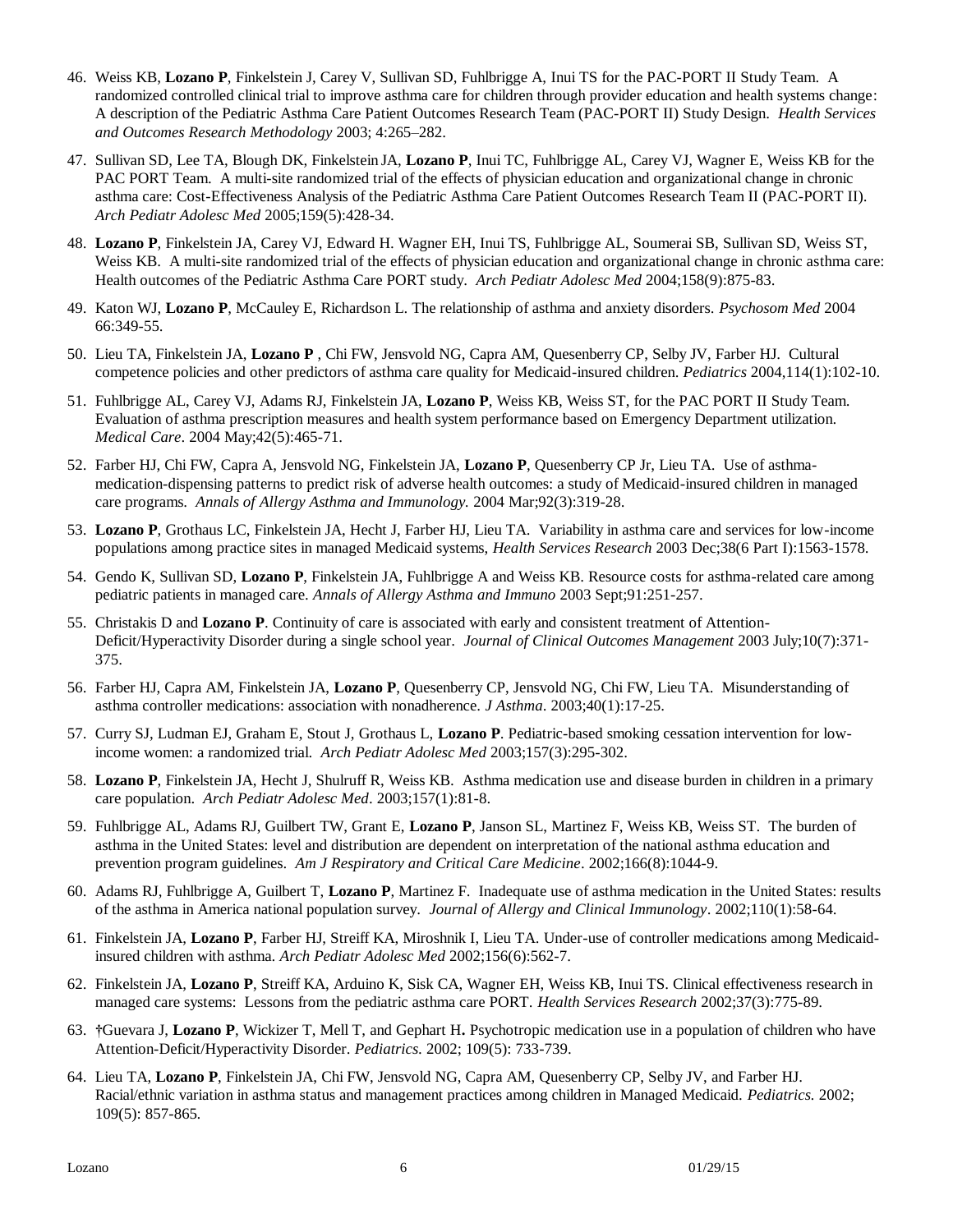- 46. Weiss KB, **Lozano P**, Finkelstein J, Carey V, Sullivan SD, Fuhlbrigge A, Inui TS for the PAC-PORT II Study Team. A randomized controlled clinical trial to improve asthma care for children through provider education and health systems change: A description of the Pediatric Asthma Care Patient Outcomes Research Team (PAC-PORT II) Study Design. *Health Services and Outcomes Research Methodology* 2003; 4:265–282.
- 47. Sullivan SD, Lee TA, Blough DK, Finkelstein JA, **Lozano P**, Inui TC, Fuhlbrigge AL, Carey VJ, Wagner E, Weiss KB for the PAC PORT Team. A multi-site randomized trial of the effects of physician education and organizational change in chronic asthma care: Cost-Effectiveness Analysis of the Pediatric Asthma Care Patient Outcomes Research Team II (PAC-PORT II). *Arch Pediatr Adolesc Med* 2005;159(5):428-34.
- 48. **Lozano P**, Finkelstein JA, Carey VJ, Edward H. Wagner EH, Inui TS, Fuhlbrigge AL, Soumerai SB, Sullivan SD, Weiss ST, Weiss KB. A multi-site randomized trial of the effects of physician education and organizational change in chronic asthma care: Health outcomes of the Pediatric Asthma Care PORT study. *Arch Pediatr Adolesc Med* 2004;158(9):875-83.
- 49. Katon WJ, **Lozano P**, McCauley E, Richardson L. The relationship of asthma and anxiety disorders. *Psychosom Med* 2004 66:349-55.
- 50. Lieu TA, Finkelstein JA, **Lozano P** , Chi FW, Jensvold NG, Capra AM, Quesenberry CP, Selby JV, Farber HJ. Cultural competence policies and other predictors of asthma care quality for Medicaid-insured children. *Pediatrics* 2004,114(1):102-10.
- 51. Fuhlbrigge AL, Carey VJ, Adams RJ, Finkelstein JA, **Lozano P**, Weiss KB, Weiss ST, for the PAC PORT II Study Team. Evaluation of asthma prescription measures and health system performance based on Emergency Department utilization. *Medical Care*. 2004 May;42(5):465-71.
- 52. Farber HJ, Chi FW, Capra A, Jensvold NG, Finkelstein JA, **Lozano P**, Quesenberry CP Jr, Lieu TA. Use of asthmamedication-dispensing patterns to predict risk of adverse health outcomes: a study of Medicaid-insured children in managed care programs. *Annals of Allergy Asthma and Immunology.* 2004 Mar;92(3):319-28.
- 53. **Lozano P**, Grothaus LC, Finkelstein JA, Hecht J, Farber HJ, Lieu TA. Variability in asthma care and services for low-income populations among practice sites in managed Medicaid systems, *Health Services Research* 2003 Dec;38(6 Part I):1563-1578.
- 54. Gendo K, Sullivan SD, **Lozano P**, Finkelstein JA, Fuhlbrigge A and Weiss KB. Resource costs for asthma-related care among pediatric patients in managed care. *Annals of Allergy Asthma and Immuno* 2003 Sept;91:251-257.
- 55. Christakis D and **Lozano P**. Continuity of care is associated with early and consistent treatment of Attention-Deficit/Hyperactivity Disorder during a single school year. *Journal of Clinical Outcomes Management* 2003 July;10(7):371- 375.
- 56. Farber HJ, Capra AM, Finkelstein JA, **Lozano P**, Quesenberry CP, Jensvold NG, Chi FW, Lieu TA. Misunderstanding of asthma controller medications: association with nonadherence. *J Asthma*. 2003;40(1):17-25.
- 57. Curry SJ, Ludman EJ, Graham E, Stout J, Grothaus L, **Lozano P**. Pediatric-based smoking cessation intervention for lowincome women: a randomized trial. *Arch Pediatr Adolesc Med* 2003;157(3):295-302.
- 58. **Lozano P**, Finkelstein JA, Hecht J, Shulruff R, Weiss KB. Asthma medication use and disease burden in children in a primary care population. *Arch Pediatr Adolesc Med*. 2003;157(1):81-8.
- 59. Fuhlbrigge AL, Adams RJ, Guilbert TW, Grant E, **Lozano P**, Janson SL, Martinez F, Weiss KB, Weiss ST. The burden of asthma in the United States: level and distribution are dependent on interpretation of the national asthma education and prevention program guidelines. *Am J Respiratory and Critical Care Medicine*. 2002;166(8):1044-9.
- 60. Adams RJ, Fuhlbrigge A, Guilbert T, **Lozano P**, Martinez F. Inadequate use of asthma medication in the United States: results of the asthma in America national population survey. *Journal of Allergy and Clinical Immunology*. 2002;110(1):58-64.
- 61. Finkelstein JA, **Lozano P**, Farber HJ, Streiff KA, Miroshnik I, Lieu TA. Under-use of controller medications among Medicaidinsured children with asthma. *Arch Pediatr Adolesc Med* 2002;156(6):562-7.
- 62. Finkelstein JA, **Lozano P**, Streiff KA, Arduino K, Sisk CA, Wagner EH, Weiss KB, Inui TS. Clinical effectiveness research in managed care systems: Lessons from the pediatric asthma care PORT. *Health Services Research* 2002;37(3):775-89.
- 63. **†**Guevara J, **Lozano P**, Wickizer T, Mell T, and Gephart H**.** Psychotropic medication use in a population of children who have Attention-Deficit/Hyperactivity Disorder. *Pediatrics*. 2002; 109(5): 733-739.
- 64. Lieu TA, **Lozano P**, Finkelstein JA, Chi FW, Jensvold NG, Capra AM, Quesenberry CP, Selby JV, and Farber HJ. Racial/ethnic variation in asthma status and management practices among children in Managed Medicaid. *Pediatrics.* 2002; 109(5): 857-865*.*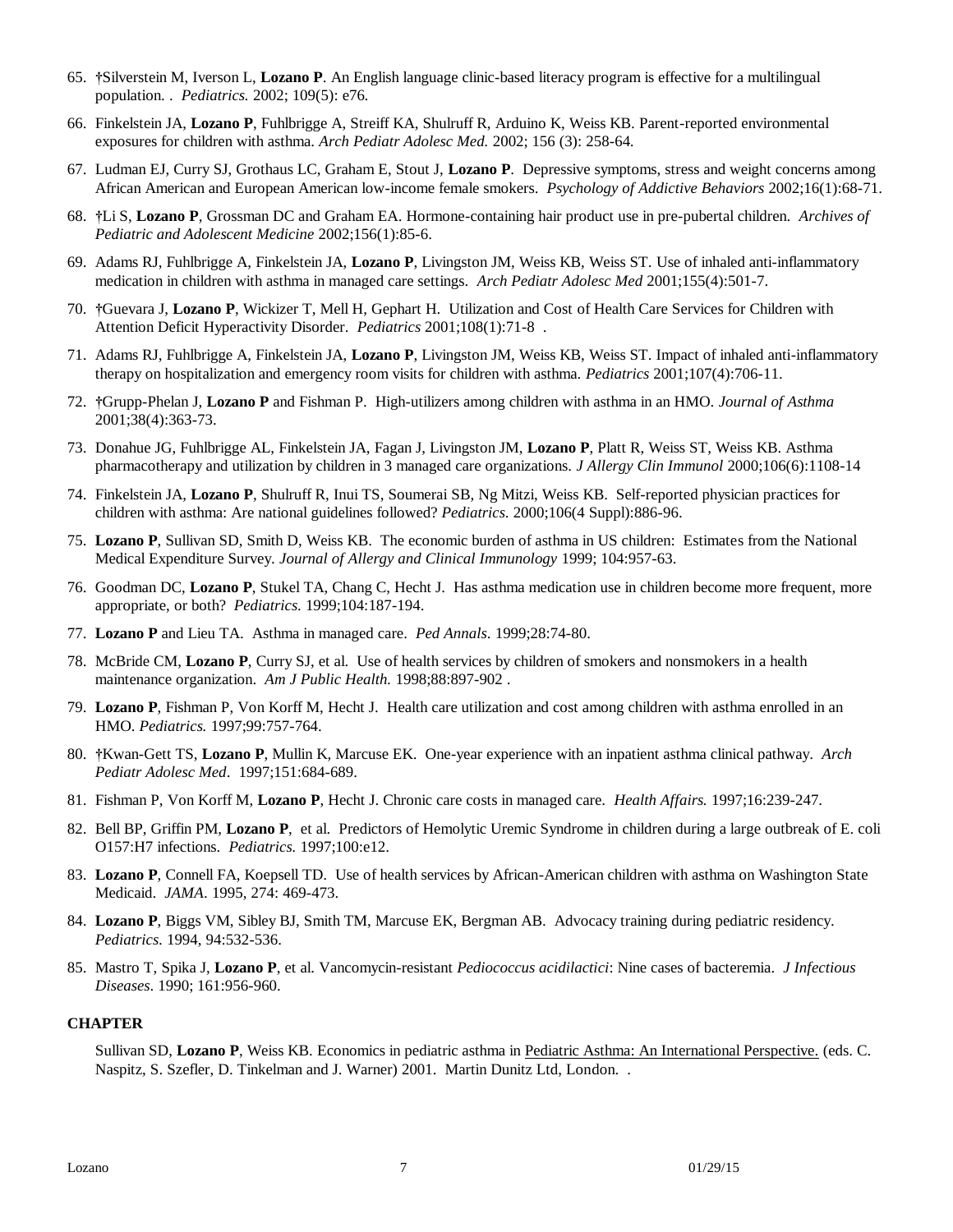- 65. **†**Silverstein M, Iverson L, **Lozano P**. An English language clinic-based literacy program is effective for a multilingual population. . *Pediatrics.* 2002; 109(5): e76*.*
- 66. Finkelstein JA, **Lozano P**, Fuhlbrigge A, Streiff KA, Shulruff R, Arduino K, Weiss KB. Parent-reported environmental exposures for children with asthma. *Arch Pediatr Adolesc Med.* 2002; 156 (3): 258-64*.*
- 67. Ludman EJ, Curry SJ, Grothaus LC, Graham E, Stout J, **Lozano P**. Depressive symptoms, stress and weight concerns among African American and European American low-income female smokers. *Psychology of Addictive Behaviors* 2002;16(1):68-71.
- 68. **†**Li S, **Lozano P**, Grossman DC and Graham EA. Hormone-containing hair product use in pre-pubertal children. *Archives of Pediatric and Adolescent Medicine* 2002;156(1):85-6.
- 69. Adams RJ, Fuhlbrigge A, Finkelstein JA, **Lozano P**, Livingston JM, Weiss KB, Weiss ST. Use of inhaled anti-inflammatory medication in children with asthma in managed care settings. *Arch Pediatr Adolesc Med* 2001;155(4):501-7.
- 70. **†**Guevara J, **Lozano P**, Wickizer T, Mell H, Gephart H. Utilization and Cost of Health Care Services for Children with Attention Deficit Hyperactivity Disorder. *Pediatrics* 2001;108(1):71-8 .
- 71. Adams RJ, Fuhlbrigge A, Finkelstein JA, **Lozano P**, Livingston JM, Weiss KB, Weiss ST. Impact of inhaled anti-inflammatory therapy on hospitalization and emergency room visits for children with asthma. *Pediatrics* 2001;107(4):706-11.
- 72. **†**Grupp-Phelan J, **Lozano P** and Fishman P. High-utilizers among children with asthma in an HMO. *Journal of Asthma*  2001;38(4):363-73.
- 73. Donahue JG, Fuhlbrigge AL, Finkelstein JA, Fagan J, Livingston JM, **Lozano P**, Platt R, Weiss ST, Weiss KB. Asthma pharmacotherapy and utilization by children in 3 managed care organizations. *J Allergy Clin Immunol* 2000;106(6):1108-14
- 74. Finkelstein JA, **Lozano P**, Shulruff R, Inui TS, Soumerai SB, Ng Mitzi, Weiss KB. Self-reported physician practices for children with asthma: Are national guidelines followed? *Pediatrics*. 2000;106(4 Suppl):886-96.
- 75. **Lozano P**, Sullivan SD, Smith D, Weiss KB. The economic burden of asthma in US children: Estimates from the National Medical Expenditure Survey. *Journal of Allergy and Clinical Immunology* 1999; 104:957-63.
- 76. Goodman DC, **Lozano P**, Stukel TA, Chang C, Hecht J. Has asthma medication use in children become more frequent, more appropriate, or both? *Pediatrics*. 1999;104:187-194.
- 77. **Lozano P** and Lieu TA. Asthma in managed care. *Ped Annals*. 1999;28:74-80.
- 78. McBride CM, **Lozano P**, Curry SJ, et al. Use of health services by children of smokers and nonsmokers in a health maintenance organization. *Am J Public Health.* 1998;88:897-902 .
- 79. **Lozano P**, Fishman P, Von Korff M, Hecht J. Health care utilization and cost among children with asthma enrolled in an HMO. *Pediatrics.* 1997;99:757-764.
- 80. **†**Kwan-Gett TS, **Lozano P**, Mullin K, Marcuse EK. One-year experience with an inpatient asthma clinical pathway. *Arch Pediatr Adolesc Med*. 1997;151:684-689.
- 81. Fishman P, Von Korff M, **Lozano P**, Hecht J. Chronic care costs in managed care. *Health Affairs.* 1997;16:239-247.
- 82. Bell BP, Griffin PM, **Lozano P**, et al. Predictors of Hemolytic Uremic Syndrome in children during a large outbreak of E. coli O157:H7 infections. *Pediatrics.* 1997;100:e12.
- 83. **Lozano P**, Connell FA, Koepsell TD. Use of health services by African-American children with asthma on Washington State Medicaid. *JAMA*. 1995, 274: 469-473.
- 84. **Lozano P**, Biggs VM, Sibley BJ, Smith TM, Marcuse EK, Bergman AB. Advocacy training during pediatric residency. *Pediatrics*. 1994, 94:532-536.
- 85. Mastro T, Spika J, **Lozano P**, et al. Vancomycin-resistant *Pediococcus acidilactici*: Nine cases of bacteremia. *J Infectious Diseases*. 1990; 161:956-960.

#### **CHAPTER**

Sullivan SD, Lozano P, Weiss KB. Economics in pediatric asthma in Pediatric Asthma: An International Perspective. (eds. C. Naspitz, S. Szefler, D. Tinkelman and J. Warner) 2001. Martin Dunitz Ltd, London. .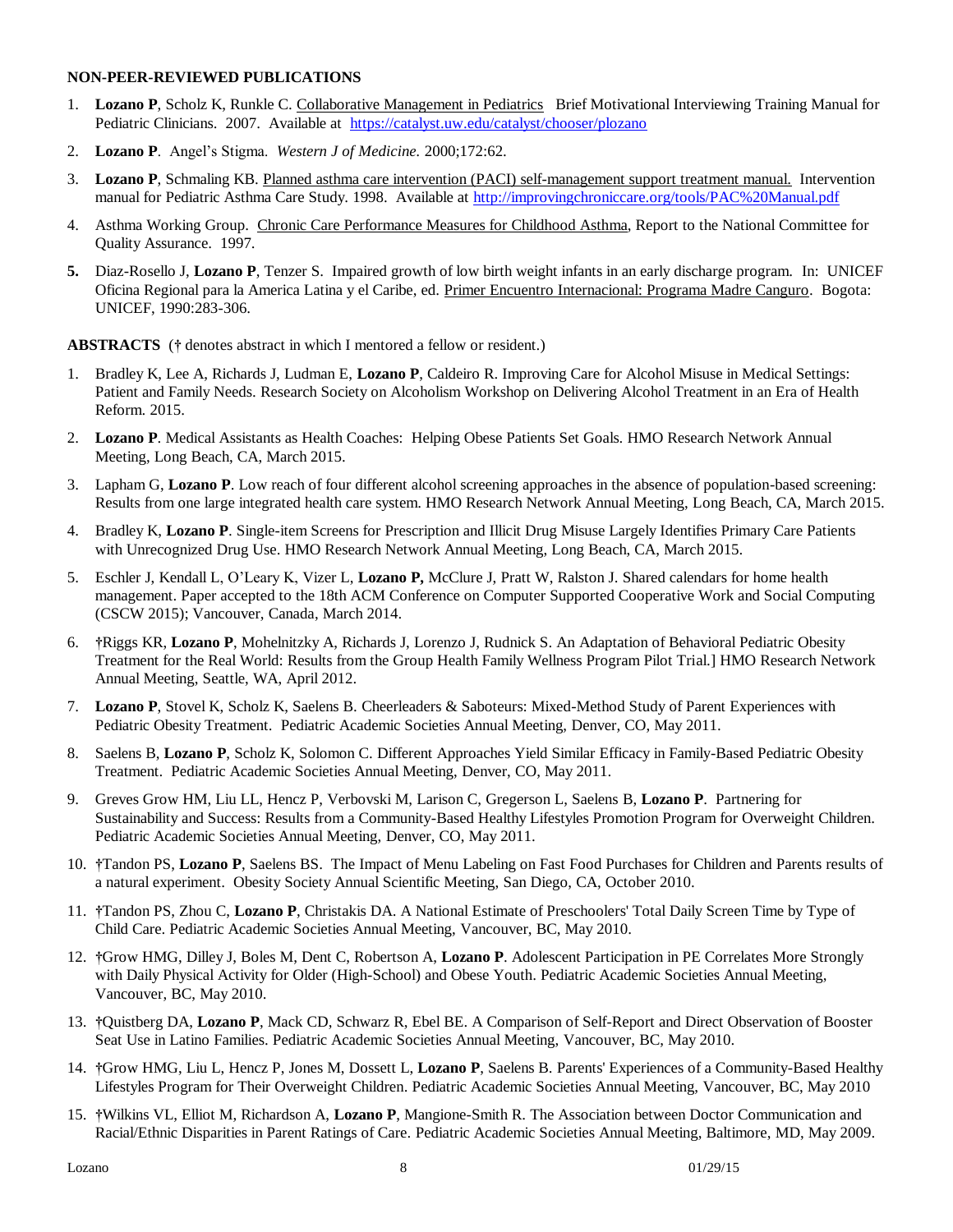#### **NON-PEER-REVIEWED PUBLICATIONS**

- 1. **Lozano P**, Scholz K, Runkle C. Collaborative Management in Pediatrics Brief Motivational Interviewing Training Manual for Pediatric Clinicians. 2007. Available at <https://catalyst.uw.edu/catalyst/chooser/plozano>
- 2. **Lozano P**. Angel's Stigma. *Western J of Medicine.* 2000;172:62.
- 3. **Lozano P**, Schmaling KB. Planned asthma care intervention (PACI) self-management support treatment manual. Intervention manual for Pediatric Asthma Care Study. 1998. Available at<http://improvingchroniccare.org/tools/PAC%20Manual.pdf>
- 4. Asthma Working Group. Chronic Care Performance Measures for Childhood Asthma, Report to the National Committee for Quality Assurance. 1997.
- **5.** Diaz-Rosello J, **Lozano P**, Tenzer S. Impaired growth of low birth weight infants in an early discharge program. In: UNICEF Oficina Regional para la America Latina y el Caribe, ed. Primer Encuentro Internacional: Programa Madre Canguro. Bogota: UNICEF, 1990:283-306.

**ABSTRACTS** (**†** denotes abstract in which I mentored a fellow or resident.)

- 1. Bradley K, Lee A, Richards J, Ludman E, **Lozano P**, Caldeiro R. Improving Care for Alcohol Misuse in Medical Settings: Patient and Family Needs. Research Society on Alcoholism Workshop on Delivering Alcohol Treatment in an Era of Health Reform. 2015.
- 2. **Lozano P**. Medical Assistants as Health Coaches: Helping Obese Patients Set Goals. HMO Research Network Annual Meeting, Long Beach, CA, March 2015.
- 3. Lapham G, **Lozano P**. Low reach of four different alcohol screening approaches in the absence of population-based screening: Results from one large integrated health care system. HMO Research Network Annual Meeting, Long Beach, CA, March 2015.
- 4. Bradley K, **Lozano P**. Single-item Screens for Prescription and Illicit Drug Misuse Largely Identifies Primary Care Patients with Unrecognized Drug Use. HMO Research Network Annual Meeting, Long Beach, CA, March 2015.
- 5. Eschler J, Kendall L, O'Leary K, Vizer L, **Lozano P,** McClure J, Pratt W, Ralston J. Shared calendars for home health management. Paper accepted to the 18th ACM Conference on Computer Supported Cooperative Work and Social Computing (CSCW 2015); Vancouver, Canada, March 2014.
- 6. **†**Riggs KR, **Lozano P**, Mohelnitzky A, Richards J, Lorenzo J, Rudnick S. An Adaptation of Behavioral Pediatric Obesity Treatment for the Real World: Results from the Group Health Family Wellness Program Pilot Trial.] HMO Research Network Annual Meeting, Seattle, WA, April 2012.
- 7. **Lozano P**, Stovel K, Scholz K, Saelens B. Cheerleaders & Saboteurs: Mixed-Method Study of Parent Experiences with Pediatric Obesity Treatment. Pediatric Academic Societies Annual Meeting, Denver, CO, May 2011.
- 8. Saelens B, **Lozano P**, Scholz K, Solomon C. Different Approaches Yield Similar Efficacy in Family-Based Pediatric Obesity Treatment. Pediatric Academic Societies Annual Meeting, Denver, CO, May 2011.
- 9. Greves Grow HM, Liu LL, Hencz P, Verbovski M, Larison C, Gregerson L, Saelens B, **Lozano P**. Partnering for Sustainability and Success: Results from a Community-Based Healthy Lifestyles Promotion Program for Overweight Children. Pediatric Academic Societies Annual Meeting, Denver, CO, May 2011.
- 10. **†**Tandon PS, **Lozano P**, Saelens BS. The Impact of Menu Labeling on Fast Food Purchases for Children and Parents results of a natural experiment. Obesity Society Annual Scientific Meeting, San Diego, CA, October 2010.
- 11. **†**Tandon PS, Zhou C, **Lozano P**, Christakis DA. A National Estimate of Preschoolers' Total Daily Screen Time by Type of Child Care. Pediatric Academic Societies Annual Meeting, Vancouver, BC, May 2010.
- 12. **†**Grow HMG, Dilley J, Boles M, Dent C, Robertson A, **Lozano P**. Adolescent Participation in PE Correlates More Strongly with Daily Physical Activity for Older (High-School) and Obese Youth. Pediatric Academic Societies Annual Meeting, Vancouver, BC, May 2010.
- 13. **†**Quistberg DA, **Lozano P**, Mack CD, Schwarz R, Ebel BE. A Comparison of Self-Report and Direct Observation of Booster Seat Use in Latino Families. Pediatric Academic Societies Annual Meeting, Vancouver, BC, May 2010.
- 14. **†**Grow HMG, Liu L, Hencz P, Jones M, Dossett L, **Lozano P**, Saelens B. Parents' Experiences of a Community-Based Healthy Lifestyles Program for Their Overweight Children. Pediatric Academic Societies Annual Meeting, Vancouver, BC, May 2010
- 15. **†**Wilkins VL, Elliot M, Richardson A, **Lozano P**, Mangione-Smith R. The Association between Doctor Communication and Racial/Ethnic Disparities in Parent Ratings of Care. Pediatric Academic Societies Annual Meeting, Baltimore, MD, May 2009.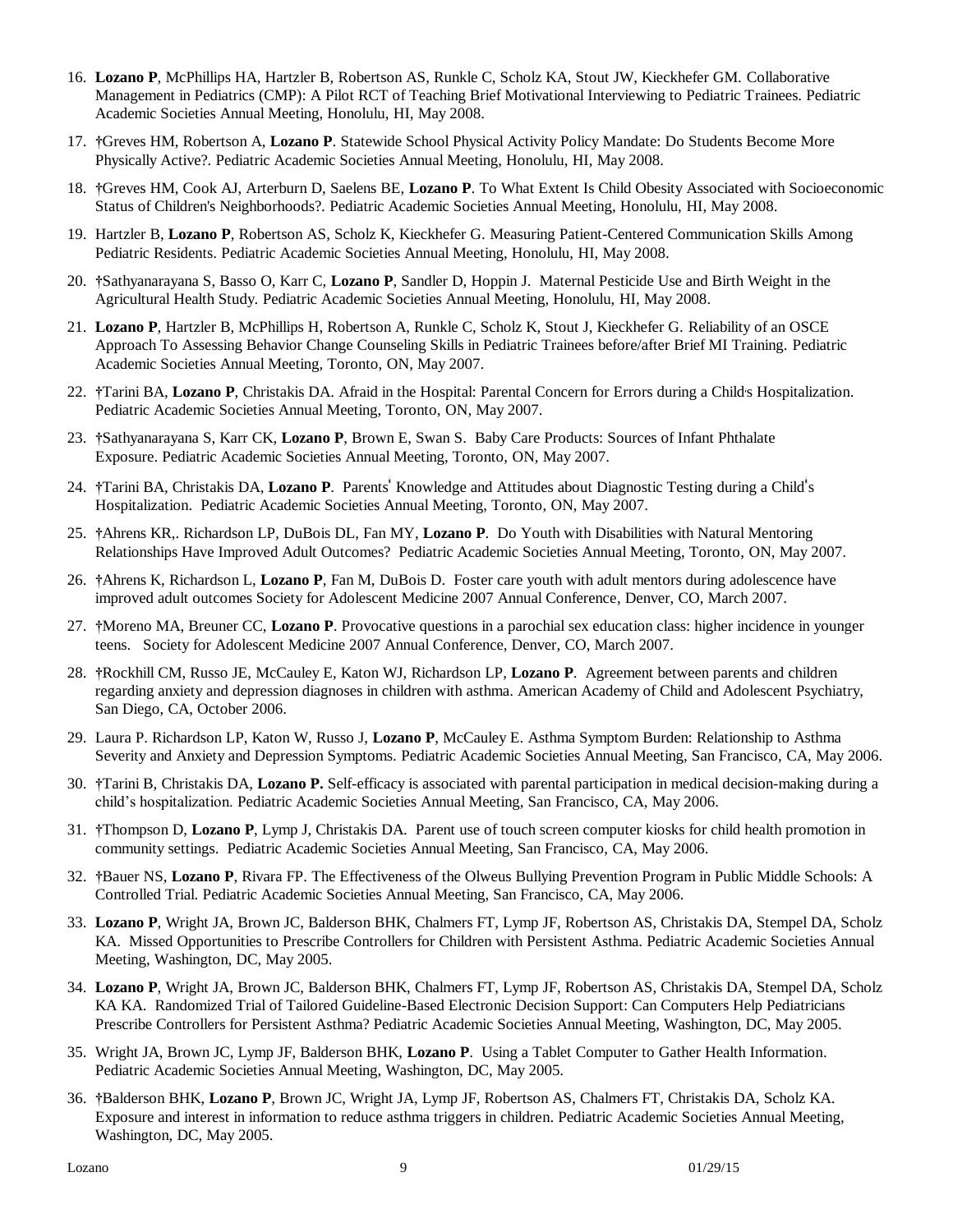- 16. **Lozano P**, McPhillips HA, Hartzler B, Robertson AS, Runkle C, Scholz KA, Stout JW, Kieckhefer GM. Collaborative Management in Pediatrics (CMP): A Pilot RCT of Teaching Brief Motivational Interviewing to Pediatric Trainees. Pediatric Academic Societies Annual Meeting, Honolulu, HI, May 2008.
- 17. **†**Greves HM, Robertson A, **Lozano P**. Statewide School Physical Activity Policy Mandate: Do Students Become More Physically Active?. Pediatric Academic Societies Annual Meeting, Honolulu, HI, May 2008.
- 18. **†**Greves HM, Cook AJ, Arterburn D, Saelens BE, **Lozano P**. To What Extent Is Child Obesity Associated with Socioeconomic Status of Children's Neighborhoods?. Pediatric Academic Societies Annual Meeting, Honolulu, HI, May 2008.
- 19. Hartzler B, **Lozano P**, Robertson AS, Scholz K, Kieckhefer G. Measuring Patient-Centered Communication Skills Among Pediatric Residents. Pediatric Academic Societies Annual Meeting, Honolulu, HI, May 2008.
- 20. **†**Sathyanarayana S, Basso O, Karr C, **Lozano P**, Sandler D, Hoppin J. Maternal Pesticide Use and Birth Weight in the Agricultural Health Study. Pediatric Academic Societies Annual Meeting, Honolulu, HI, May 2008.
- 21. **Lozano P**, Hartzler B, McPhillips H, Robertson A, Runkle C, Scholz K, Stout J, Kieckhefer G. Reliability of an OSCE Approach To Assessing Behavior Change Counseling Skills in Pediatric Trainees before/after Brief MI Training. Pediatric Academic Societies Annual Meeting, Toronto, ON, May 2007.
- 22. **†**Tarini BA, **Lozano P**, Christakis DA. Afraid in the Hospital: Parental Concern for Errors during a Child s Hospitalization. Pediatric Academic Societies Annual Meeting, Toronto, ON, May 2007.
- 23. **†**Sathyanarayana S, Karr CK, **Lozano P**, Brown E, Swan S. Baby Care Products: Sources of Infant Phthalate Exposure. Pediatric Academic Societies Annual Meeting, Toronto, ON, May 2007.
- 24. †Tarini BA, Christakis DA, Lozano P. Parents' Knowledge and Attitudes about Diagnostic Testing during a Child's Hospitalization. Pediatric Academic Societies Annual Meeting, Toronto, ON, May 2007.
- 25. **†**Ahrens KR,. Richardson LP, DuBois DL, Fan MY, **Lozano P**. Do Youth with Disabilities with Natural Mentoring Relationships Have Improved Adult Outcomes? Pediatric Academic Societies Annual Meeting, Toronto, ON, May 2007.
- 26. **†**Ahrens K, Richardson L, **Lozano P**, Fan M, DuBois D. Foster care youth with adult mentors during adolescence have improved adult outcomes Society for Adolescent Medicine 2007 Annual Conference, Denver, CO, March 2007.
- 27. **†**Moreno MA, Breuner CC, **Lozano P**. Provocative questions in a parochial sex education class: higher incidence in younger teens. Society for Adolescent Medicine 2007 Annual Conference, Denver, CO, March 2007.
- 28. **†**Rockhill CM, Russo JE, McCauley E, Katon WJ, Richardson LP, **Lozano P**. Agreement between parents and children regarding anxiety and depression diagnoses in children with asthma. American Academy of Child and Adolescent Psychiatry, San Diego, CA, October 2006.
- 29. Laura P. Richardson LP, Katon W, Russo J, **Lozano P**, McCauley E. Asthma Symptom Burden: Relationship to Asthma Severity and Anxiety and Depression Symptoms. Pediatric Academic Societies Annual Meeting, San Francisco, CA, May 2006.
- 30. **†**Tarini B, Christakis DA, **Lozano P.** Self-efficacy is associated with parental participation in medical decision-making during a child's hospitalization. Pediatric Academic Societies Annual Meeting, San Francisco, CA, May 2006.
- 31. **†**Thompson D, **Lozano P**, Lymp J, Christakis DA. Parent use of touch screen computer kiosks for child health promotion in community settings. Pediatric Academic Societies Annual Meeting, San Francisco, CA, May 2006.
- 32. **†**Bauer NS, **Lozano P**, Rivara FP. The Effectiveness of the Olweus Bullying Prevention Program in Public Middle Schools: A Controlled Trial. Pediatric Academic Societies Annual Meeting, San Francisco, CA, May 2006.
- 33. **Lozano P**, Wright JA, Brown JC, Balderson BHK, Chalmers FT, Lymp JF, Robertson AS, Christakis DA, Stempel DA, Scholz KA. Missed Opportunities to Prescribe Controllers for Children with Persistent Asthma. Pediatric Academic Societies Annual Meeting, Washington, DC, May 2005.
- 34. **Lozano P**, Wright JA, Brown JC, Balderson BHK, Chalmers FT, Lymp JF, Robertson AS, Christakis DA, Stempel DA, Scholz KA KA. Randomized Trial of Tailored Guideline-Based Electronic Decision Support: Can Computers Help Pediatricians Prescribe Controllers for Persistent Asthma? Pediatric Academic Societies Annual Meeting, Washington, DC, May 2005.
- 35. Wright JA, Brown JC, Lymp JF, Balderson BHK, **Lozano P**. Using a Tablet Computer to Gather Health Information. Pediatric Academic Societies Annual Meeting, Washington, DC, May 2005.
- 36. **†**Balderson BHK, **Lozano P**, Brown JC, Wright JA, Lymp JF, Robertson AS, Chalmers FT, Christakis DA, Scholz KA. Exposure and interest in information to reduce asthma triggers in children. Pediatric Academic Societies Annual Meeting, Washington, DC, May 2005.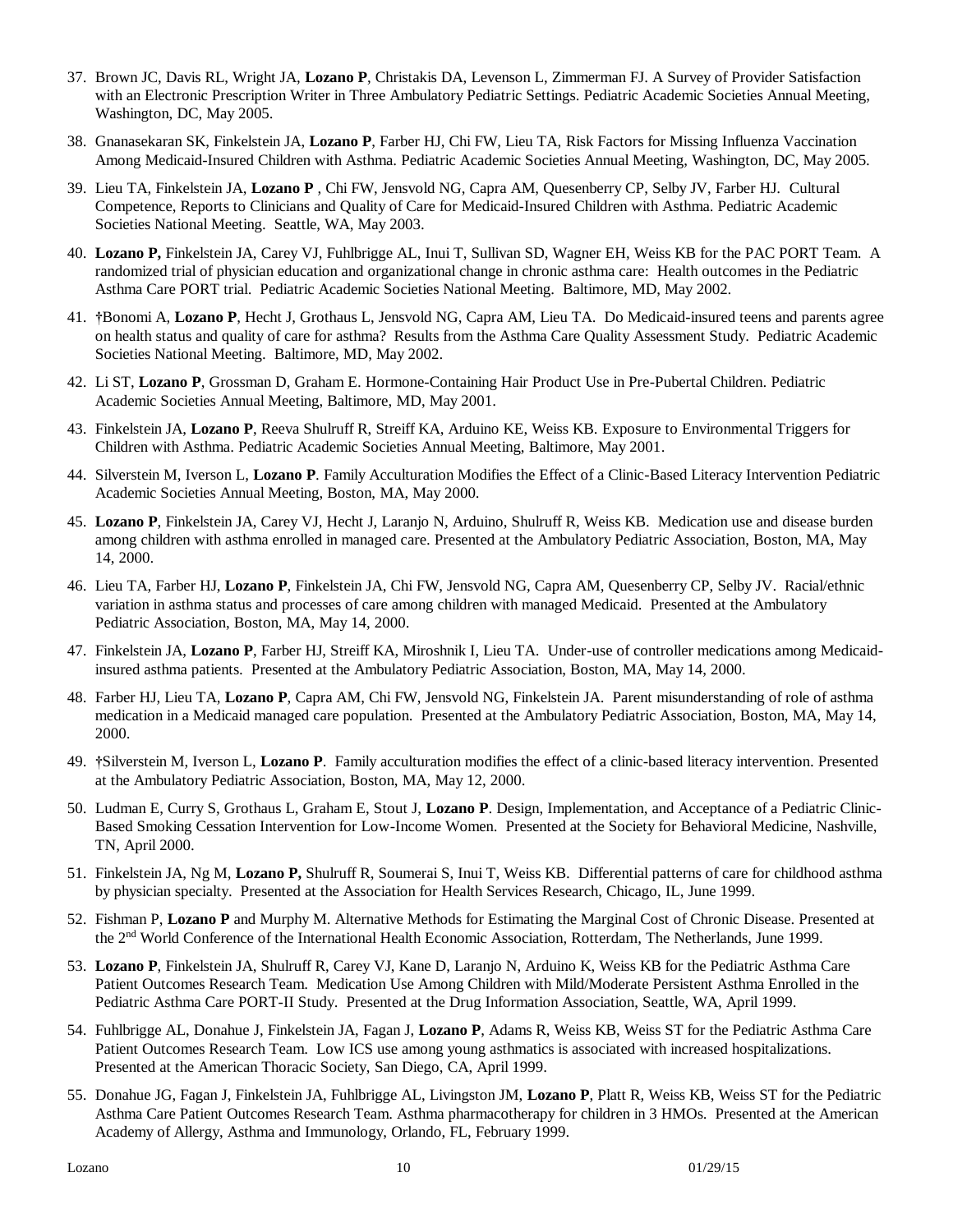- 37. Brown JC, Davis RL, Wright JA, **Lozano P**, Christakis DA, Levenson L, Zimmerman FJ. A Survey of Provider Satisfaction with an Electronic Prescription Writer in Three Ambulatory Pediatric Settings. Pediatric Academic Societies Annual Meeting, Washington, DC, May 2005.
- 38. Gnanasekaran SK, Finkelstein JA, **Lozano P**, Farber HJ, Chi FW, Lieu TA, Risk Factors for Missing Influenza Vaccination Among Medicaid-Insured Children with Asthma. Pediatric Academic Societies Annual Meeting, Washington, DC, May 2005.
- 39. Lieu TA, Finkelstein JA, **Lozano P** , Chi FW, Jensvold NG, Capra AM, Quesenberry CP, Selby JV, Farber HJ. Cultural Competence, Reports to Clinicians and Quality of Care for Medicaid-Insured Children with Asthma. Pediatric Academic Societies National Meeting. Seattle, WA, May 2003.
- 40. **Lozano P,** Finkelstein JA, Carey VJ, Fuhlbrigge AL, Inui T, Sullivan SD, Wagner EH, Weiss KB for the PAC PORT Team. A randomized trial of physician education and organizational change in chronic asthma care: Health outcomes in the Pediatric Asthma Care PORT trial. Pediatric Academic Societies National Meeting. Baltimore, MD, May 2002.
- 41. **†**Bonomi A, **Lozano P**, Hecht J, Grothaus L, Jensvold NG, Capra AM, Lieu TA. Do Medicaid-insured teens and parents agree on health status and quality of care for asthma? Results from the Asthma Care Quality Assessment Study. Pediatric Academic Societies National Meeting. Baltimore, MD, May 2002.
- 42. Li ST, **Lozano P**, Grossman D, Graham E. Hormone-Containing Hair Product Use in Pre-Pubertal Children. Pediatric Academic Societies Annual Meeting, Baltimore, MD, May 2001.
- 43. Finkelstein JA, **Lozano P**, Reeva Shulruff R, Streiff KA, Arduino KE, Weiss KB. Exposure to Environmental Triggers for Children with Asthma. Pediatric Academic Societies Annual Meeting, Baltimore, May 2001.
- 44. Silverstein M, Iverson L, **Lozano P**. Family Acculturation Modifies the Effect of a Clinic-Based Literacy Intervention Pediatric Academic Societies Annual Meeting, Boston, MA, May 2000.
- 45. **Lozano P**, Finkelstein JA, Carey VJ, Hecht J, Laranjo N, Arduino, Shulruff R, Weiss KB. Medication use and disease burden among children with asthma enrolled in managed care. Presented at the Ambulatory Pediatric Association, Boston, MA, May 14, 2000.
- 46. Lieu TA, Farber HJ, **Lozano P**, Finkelstein JA, Chi FW, Jensvold NG, Capra AM, Quesenberry CP, Selby JV. Racial/ethnic variation in asthma status and processes of care among children with managed Medicaid. Presented at the Ambulatory Pediatric Association, Boston, MA, May 14, 2000.
- 47. Finkelstein JA, **Lozano P**, Farber HJ, Streiff KA, Miroshnik I, Lieu TA. Under-use of controller medications among Medicaidinsured asthma patients. Presented at the Ambulatory Pediatric Association, Boston, MA, May 14, 2000.
- 48. Farber HJ, Lieu TA, **Lozano P**, Capra AM, Chi FW, Jensvold NG, Finkelstein JA. Parent misunderstanding of role of asthma medication in a Medicaid managed care population. Presented at the Ambulatory Pediatric Association, Boston, MA, May 14, 2000.
- 49. **†**Silverstein M, Iverson L, **Lozano P**. Family acculturation modifies the effect of a clinic-based literacy intervention. Presented at the Ambulatory Pediatric Association, Boston, MA, May 12, 2000.
- 50. Ludman E, Curry S, Grothaus L, Graham E, Stout J, **Lozano P**. Design, Implementation, and Acceptance of a Pediatric Clinic-Based Smoking Cessation Intervention for Low-Income Women. Presented at the Society for Behavioral Medicine, Nashville, TN, April 2000.
- 51. Finkelstein JA, Ng M, **Lozano P,** Shulruff R, Soumerai S, Inui T, Weiss KB. Differential patterns of care for childhood asthma by physician specialty. Presented at the Association for Health Services Research, Chicago, IL, June 1999.
- 52. Fishman P, **Lozano P** and Murphy M. Alternative Methods for Estimating the Marginal Cost of Chronic Disease. Presented at the 2nd World Conference of the International Health Economic Association, Rotterdam, The Netherlands, June 1999.
- 53. **Lozano P**, Finkelstein JA, Shulruff R, Carey VJ, Kane D, Laranjo N, Arduino K, Weiss KB for the Pediatric Asthma Care Patient Outcomes Research Team. Medication Use Among Children with Mild/Moderate Persistent Asthma Enrolled in the Pediatric Asthma Care PORT-II Study. Presented at the Drug Information Association, Seattle, WA, April 1999.
- 54. Fuhlbrigge AL, Donahue J, Finkelstein JA, Fagan J, **Lozano P**, Adams R, Weiss KB, Weiss ST for the Pediatric Asthma Care Patient Outcomes Research Team. Low ICS use among young asthmatics is associated with increased hospitalizations. Presented at the American Thoracic Society, San Diego, CA, April 1999.
- 55. Donahue JG, Fagan J, Finkelstein JA, Fuhlbrigge AL, Livingston JM, **Lozano P**, Platt R, Weiss KB, Weiss ST for the Pediatric Asthma Care Patient Outcomes Research Team. Asthma pharmacotherapy for children in 3 HMOs. Presented at the American Academy of Allergy, Asthma and Immunology, Orlando, FL, February 1999.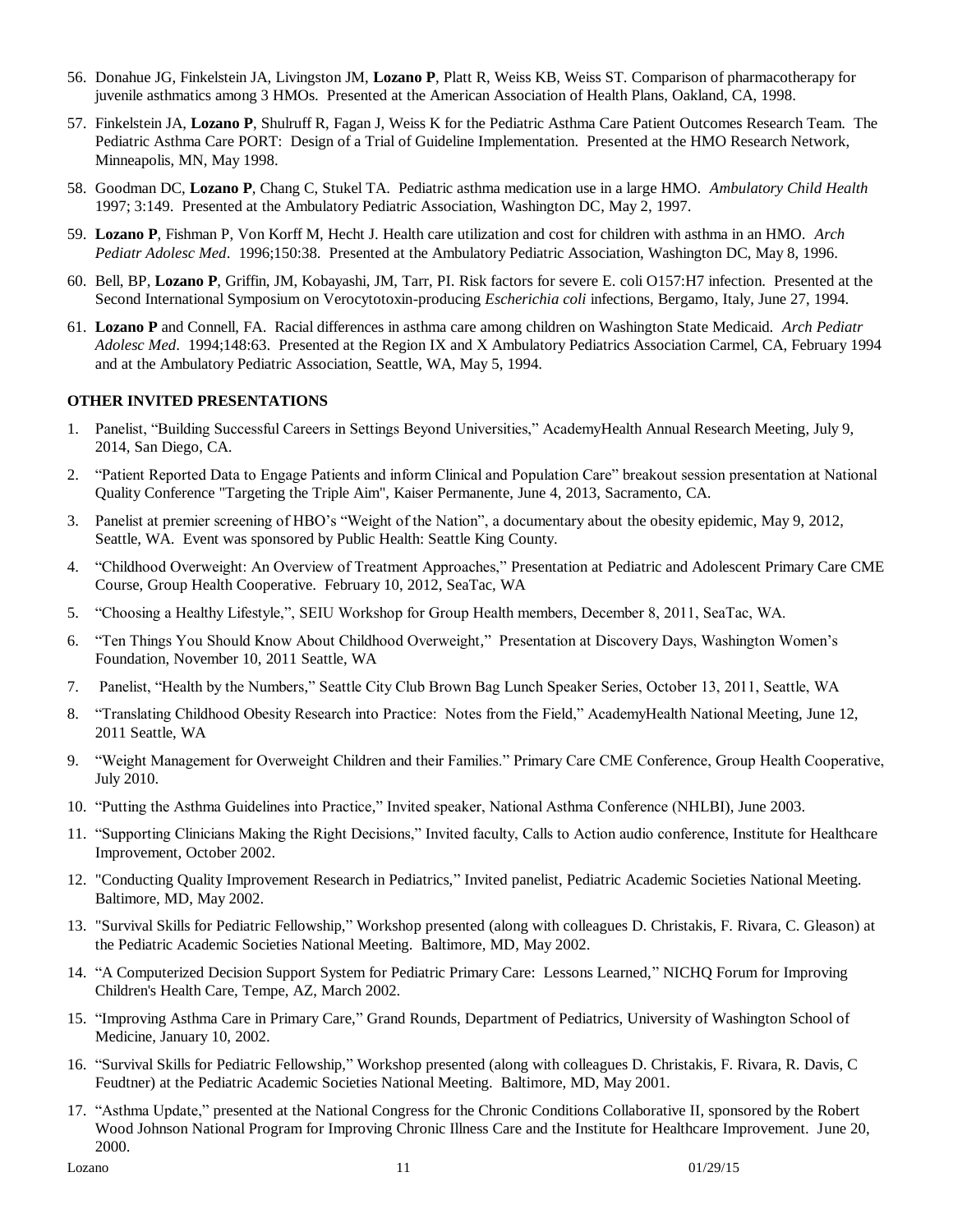- 56. Donahue JG, Finkelstein JA, Livingston JM, **Lozano P**, Platt R, Weiss KB, Weiss ST. Comparison of pharmacotherapy for juvenile asthmatics among 3 HMOs. Presented at the American Association of Health Plans, Oakland, CA, 1998.
- 57. Finkelstein JA, **Lozano P**, Shulruff R, Fagan J, Weiss K for the Pediatric Asthma Care Patient Outcomes Research Team. The Pediatric Asthma Care PORT: Design of a Trial of Guideline Implementation. Presented at the HMO Research Network, Minneapolis, MN, May 1998.
- 58. Goodman DC, **Lozano P**, Chang C, Stukel TA. Pediatric asthma medication use in a large HMO. *Ambulatory Child Health* 1997; 3:149. Presented at the Ambulatory Pediatric Association, Washington DC, May 2, 1997.
- 59. **Lozano P**, Fishman P, Von Korff M, Hecht J. Health care utilization and cost for children with asthma in an HMO. *Arch Pediatr Adolesc Med*. 1996;150:38. Presented at the Ambulatory Pediatric Association, Washington DC, May 8, 1996.
- 60. Bell, BP, **Lozano P**, Griffin, JM, Kobayashi, JM, Tarr, PI. Risk factors for severe E. coli O157:H7 infection. Presented at the Second International Symposium on Verocytotoxin-producing *Escherichia coli* infections, Bergamo, Italy, June 27, 1994.
- 61. **Lozano P** and Connell, FA. Racial differences in asthma care among children on Washington State Medicaid. *Arch Pediatr Adolesc Med*. 1994;148:63. Presented at the Region IX and X Ambulatory Pediatrics Association Carmel, CA, February 1994 and at the Ambulatory Pediatric Association, Seattle, WA, May 5, 1994.

#### **OTHER INVITED PRESENTATIONS**

- 1. Panelist, "Building Successful Careers in Settings Beyond Universities," AcademyHealth Annual Research Meeting, July 9, 2014, San Diego, CA.
- 2. "Patient Reported Data to Engage Patients and inform Clinical and Population Care" breakout session presentation at National Quality Conference "Targeting the Triple Aim", Kaiser Permanente, June 4, 2013, Sacramento, CA.
- 3. Panelist at premier screening of HBO's "Weight of the Nation", a documentary about the obesity epidemic, May 9, 2012, Seattle, WA. Event was sponsored by Public Health: Seattle King County.
- 4. "Childhood Overweight: An Overview of Treatment Approaches," Presentation at Pediatric and Adolescent Primary Care CME Course, Group Health Cooperative. February 10, 2012, SeaTac, WA
- 5. "Choosing a Healthy Lifestyle,", SEIU Workshop for Group Health members, December 8, 2011, SeaTac, WA.
- 6. "Ten Things You Should Know About Childhood Overweight," Presentation at Discovery Days, Washington Women's Foundation, November 10, 2011 Seattle, WA
- 7. Panelist, "Health by the Numbers," Seattle City Club Brown Bag Lunch Speaker Series, October 13, 2011, Seattle, WA
- 8. "Translating Childhood Obesity Research into Practice: Notes from the Field," AcademyHealth National Meeting, June 12, 2011 Seattle, WA
- 9. "Weight Management for Overweight Children and their Families." Primary Care CME Conference, Group Health Cooperative, July 2010.
- 10. "Putting the Asthma Guidelines into Practice," Invited speaker, National Asthma Conference (NHLBI), June 2003.
- 11. "Supporting Clinicians Making the Right Decisions," Invited faculty, Calls to Action audio conference, Institute for Healthcare Improvement, October 2002.
- 12. "Conducting Quality Improvement Research in Pediatrics," Invited panelist, Pediatric Academic Societies National Meeting. Baltimore, MD, May 2002.
- 13. "Survival Skills for Pediatric Fellowship," Workshop presented (along with colleagues D. Christakis, F. Rivara, C. Gleason) at the Pediatric Academic Societies National Meeting. Baltimore, MD, May 2002.
- 14. "A Computerized Decision Support System for Pediatric Primary Care: Lessons Learned," NICHQ Forum for Improving Children's Health Care, Tempe, AZ, March 2002.
- 15. "Improving Asthma Care in Primary Care," Grand Rounds, Department of Pediatrics, University of Washington School of Medicine, January 10, 2002.
- 16. "Survival Skills for Pediatric Fellowship," Workshop presented (along with colleagues D. Christakis, F. Rivara, R. Davis, C Feudtner) at the Pediatric Academic Societies National Meeting. Baltimore, MD, May 2001.
- 17. "Asthma Update," presented at the National Congress for the Chronic Conditions Collaborative II, sponsored by the Robert Wood Johnson National Program for Improving Chronic Illness Care and the Institute for Healthcare Improvement. June 20, 2000.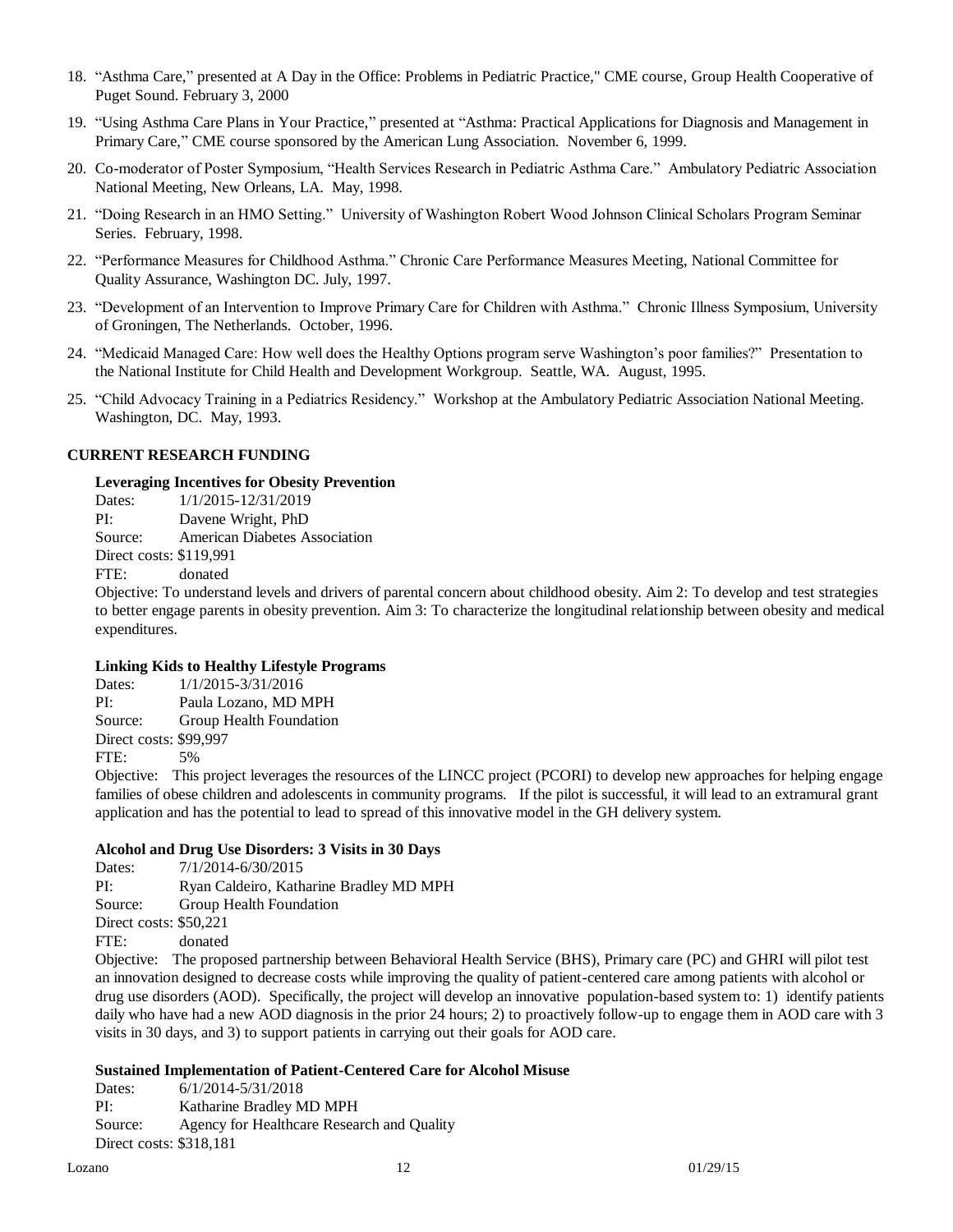- 18. "Asthma Care," presented at A Day in the Office: Problems in Pediatric Practice," CME course, Group Health Cooperative of Puget Sound. February 3, 2000
- 19. "Using Asthma Care Plans in Your Practice," presented at "Asthma: Practical Applications for Diagnosis and Management in Primary Care," CME course sponsored by the American Lung Association. November 6, 1999.
- 20. Co-moderator of Poster Symposium, "Health Services Research in Pediatric Asthma Care." Ambulatory Pediatric Association National Meeting, New Orleans, LA. May, 1998.
- 21. "Doing Research in an HMO Setting." University of Washington Robert Wood Johnson Clinical Scholars Program Seminar Series. February, 1998.
- 22. "Performance Measures for Childhood Asthma." Chronic Care Performance Measures Meeting, National Committee for Quality Assurance, Washington DC. July, 1997.
- 23. "Development of an Intervention to Improve Primary Care for Children with Asthma." Chronic Illness Symposium, University of Groningen, The Netherlands. October, 1996.
- 24. "Medicaid Managed Care: How well does the Healthy Options program serve Washington's poor families?" Presentation to the National Institute for Child Health and Development Workgroup. Seattle, WA. August, 1995.
- 25. "Child Advocacy Training in a Pediatrics Residency." Workshop at the Ambulatory Pediatric Association National Meeting. Washington, DC. May, 1993.

#### **CURRENT RESEARCH FUNDING**

#### **Leveraging Incentives for Obesity Prevention**

Dates:  $1/1/2015 - 12/31/2019$ PI: Davene Wright, PhD Source: American Diabetes Association Direct costs: \$119,991 FTE: donated

Objective: To understand levels and drivers of parental concern about childhood obesity. Aim 2: To develop and test strategies to better engage parents in obesity prevention. Aim 3: To characterize the longitudinal relationship between obesity and medical expenditures.

#### **Linking Kids to Healthy Lifestyle Programs**

Dates: 1/1/2015-3/31/2016 PI: Paula Lozano, MD MPH Source: Group Health Foundation Direct costs: \$99,997 FTE: 5%

Objective: This project leverages the resources of the LINCC project (PCORI) to develop new approaches for helping engage families of obese children and adolescents in community programs. If the pilot is successful, it will lead to an extramural grant application and has the potential to lead to spread of this innovative model in the GH delivery system.

#### **Alcohol and Drug Use Disorders: 3 Visits in 30 Days**

Dates: 7/1/2014-6/30/2015 PI: Ryan Caldeiro, Katharine Bradley MD MPH Source: Group Health Foundation Direct costs: \$50,221 FTE: donated

Objective: The proposed partnership between Behavioral Health Service (BHS), Primary care (PC) and GHRI will pilot test an innovation designed to decrease costs while improving the quality of patient-centered care among patients with alcohol or drug use disorders (AOD). Specifically, the project will develop an innovative population-based system to: 1) identify patients daily who have had a new AOD diagnosis in the prior 24 hours; 2) to proactively follow-up to engage them in AOD care with 3 visits in 30 days, and 3) to support patients in carrying out their goals for AOD care.

#### **Sustained Implementation of Patient-Centered Care for Alcohol Misuse**

Dates: 6/1/2014-5/31/2018 PI: Katharine Bradley MD MPH Source: Agency for Healthcare Research and Quality Direct costs: \$318,181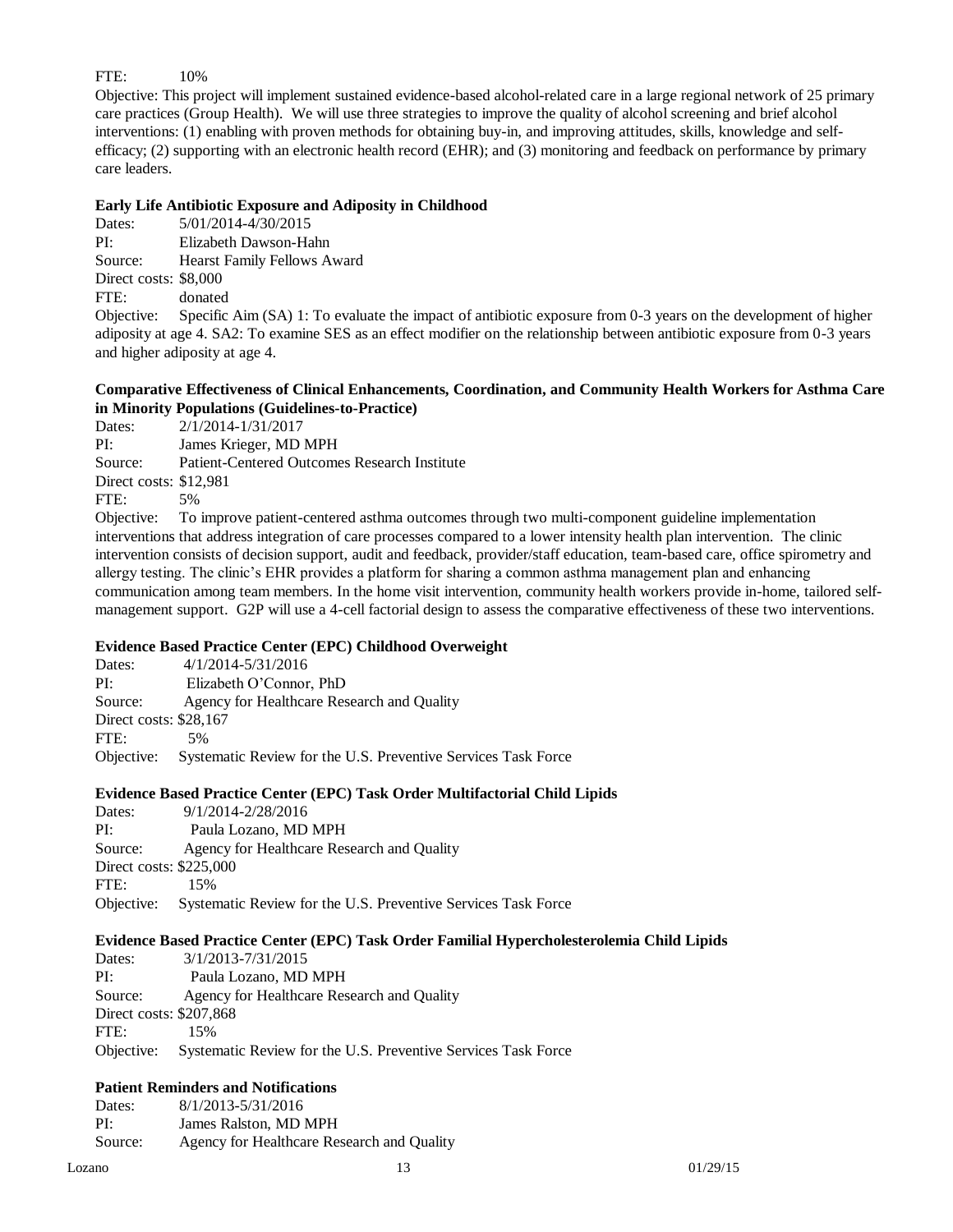## FTE: 10%

Objective: This project will implement sustained evidence-based alcohol-related care in a large regional network of 25 primary care practices (Group Health). We will use three strategies to improve the quality of alcohol screening and brief alcohol interventions: (1) enabling with proven methods for obtaining buy-in, and improving attitudes, skills, knowledge and selfefficacy; (2) supporting with an electronic health record (EHR); and (3) monitoring and feedback on performance by primary care leaders.

## **Early Life Antibiotic Exposure and Adiposity in Childhood**

Dates: 5/01/2014-4/30/2015 PI: Elizabeth Dawson-Hahn Source: Hearst Family Fellows Award Direct costs: \$8,000

FTE: donated

Objective: Specific Aim (SA) 1: To evaluate the impact of antibiotic exposure from 0-3 years on the development of higher adiposity at age 4. SA2: To examine SES as an effect modifier on the relationship between antibiotic exposure from 0-3 years and higher adiposity at age 4.

## **Comparative Effectiveness of Clinical Enhancements, Coordination, and Community Health Workers for Asthma Care in Minority Populations (Guidelines-to-Practice)**

Dates: 2/1/2014-1/31/2017 PI: James Krieger, MD MPH Source: Patient-Centered Outcomes Research Institute Direct costs: \$12,981 FTE: 5% Objective: To improve patient-centered asthma outcomes through two multi-component guideline implementation

interventions that address integration of care processes compared to a lower intensity health plan intervention. The clinic intervention consists of decision support, audit and feedback, provider/staff education, team-based care, office spirometry and allergy testing. The clinic's EHR provides a platform for sharing a common asthma management plan and enhancing communication among team members. In the home visit intervention, community health workers provide in-home, tailored selfmanagement support. G2P will use a 4-cell factorial design to assess the comparative effectiveness of these two interventions.

## **Evidence Based Practice Center (EPC) Childhood Overweight**

Dates:  $4/1/2014 - 5/31/2016$ PI: Elizabeth O'Connor, PhD Source: Agency for Healthcare Research and Quality Direct costs: \$28,167 FTE: 5% Objective: Systematic Review for the U.S. Preventive Services Task Force

## **Evidence Based Practice Center (EPC) Task Order Multifactorial Child Lipids**

Dates: 9/1/2014-2/28/2016 PI: Paula Lozano, MD MPH Source: Agency for Healthcare Research and Quality Direct costs: \$225,000 FTE: 15% Objective: Systematic Review for the U.S. Preventive Services Task Force

## **Evidence Based Practice Center (EPC) Task Order Familial Hypercholesterolemia Child Lipids**

| Dates:                  | 3/1/2013-7/31/2015                                            |
|-------------------------|---------------------------------------------------------------|
| PI:                     | Paula Lozano, MD MPH                                          |
| Source:                 | Agency for Healthcare Research and Quality                    |
| Direct costs: \$207,868 |                                                               |
| FTE:                    | 15%                                                           |
| Objective:              | Systematic Review for the U.S. Preventive Services Task Force |

# **Patient Reminders and Notifications**

Dates: 8/1/2013-5/31/2016 PI: James Ralston, MD MPH Source: Agency for Healthcare Research and Quality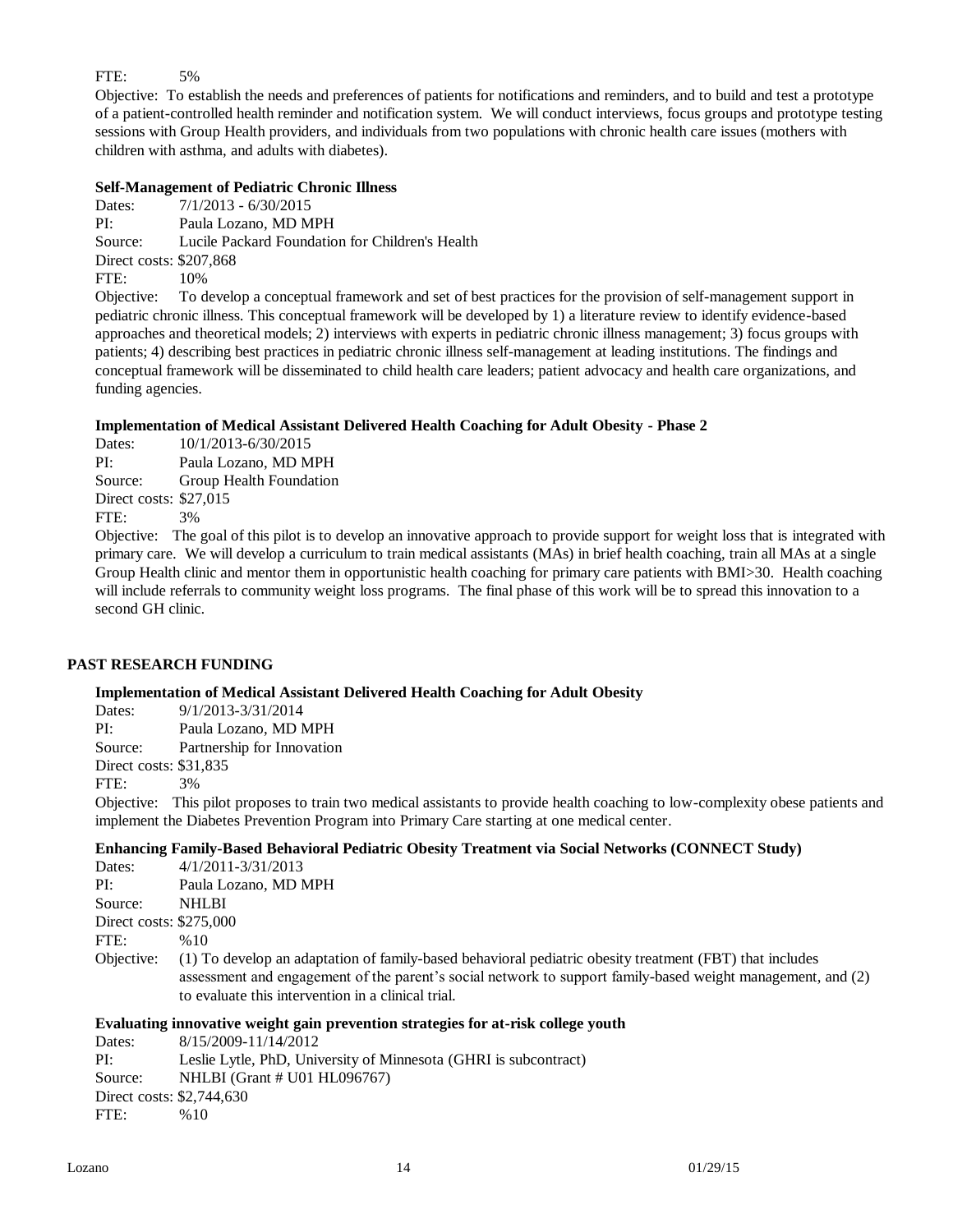# FTE: 5%

Objective: To establish the needs and preferences of patients for notifications and reminders, and to build and test a prototype of a patient-controlled health reminder and notification system. We will conduct interviews, focus groups and prototype testing sessions with Group Health providers, and individuals from two populations with chronic health care issues (mothers with children with asthma, and adults with diabetes).

## **Self-Management of Pediatric Chronic Illness**

Dates:  $7/1/2013 - 6/30/2015$ PI: Paula Lozano, MD MPH Source: Lucile Packard Foundation for Children's Health Direct costs: \$207,868 FTE: 10% Objective: To develop a conceptual framework and set of best practices for the provision of self-management support in

pediatric chronic illness. This conceptual framework will be developed by 1) a literature review to identify evidence-based approaches and theoretical models; 2) interviews with experts in pediatric chronic illness management; 3) focus groups with patients; 4) describing best practices in pediatric chronic illness self-management at leading institutions. The findings and conceptual framework will be disseminated to child health care leaders; patient advocacy and health care organizations, and funding agencies.

## **Implementation of Medical Assistant Delivered Health Coaching for Adult Obesity - Phase 2**

Dates: 10/1/2013-6/30/2015 PI: Paula Lozano, MD MPH Source: Group Health Foundation Direct costs: \$27,015

FTE: 3%

Objective: The goal of this pilot is to develop an innovative approach to provide support for weight loss that is integrated with primary care. We will develop a curriculum to train medical assistants (MAs) in brief health coaching, train all MAs at a single Group Health clinic and mentor them in opportunistic health coaching for primary care patients with BMI>30. Health coaching will include referrals to community weight loss programs. The final phase of this work will be to spread this innovation to a second GH clinic.

## **PAST RESEARCH FUNDING**

## **Implementation of Medical Assistant Delivered Health Coaching for Adult Obesity**

Dates: 9/1/2013-3/31/2014

PI: Paula Lozano, MD MPH

Source: Partnership for Innovation

Direct costs: \$31,835

FTE: 3%

Objective: This pilot proposes to train two medical assistants to provide health coaching to low-complexity obese patients and implement the Diabetes Prevention Program into Primary Care starting at one medical center.

## **Enhancing Family-Based Behavioral Pediatric Obesity Treatment via Social Networks (CONNECT Study)**

| Dates:                  | 4/1/2011-3/31/2013                                                                                                                                                                                                                                                           |
|-------------------------|------------------------------------------------------------------------------------------------------------------------------------------------------------------------------------------------------------------------------------------------------------------------------|
| PI:                     | Paula Lozano, MD MPH                                                                                                                                                                                                                                                         |
| Source:                 | <b>NHLBI</b>                                                                                                                                                                                                                                                                 |
| Direct costs: \$275,000 |                                                                                                                                                                                                                                                                              |
| FTE:                    | %10                                                                                                                                                                                                                                                                          |
| Objective:              | (1) To develop an adaptation of family-based behavioral pediatric obesity treatment (FBT) that includes<br>assessment and engagement of the parent's social network to support family-based weight management, and (2)<br>to evaluate this intervention in a clinical trial. |
|                         | $\mathbf{a}$ , $\mathbf{a}$ , $\mathbf{a}$ , $\mathbf{a}$ , $\mathbf{a}$                                                                                                                                                                                                     |

# **Evaluating innovative weight gain prevention strategies for at-risk college youth**

Dates: 8/15/2009-11/14/2012 PI: Leslie Lytle, PhD, University of Minnesota (GHRI is subcontract) Source: NHLBI (Grant # U01 HL096767) Direct costs: \$2,744,630 FTE: %10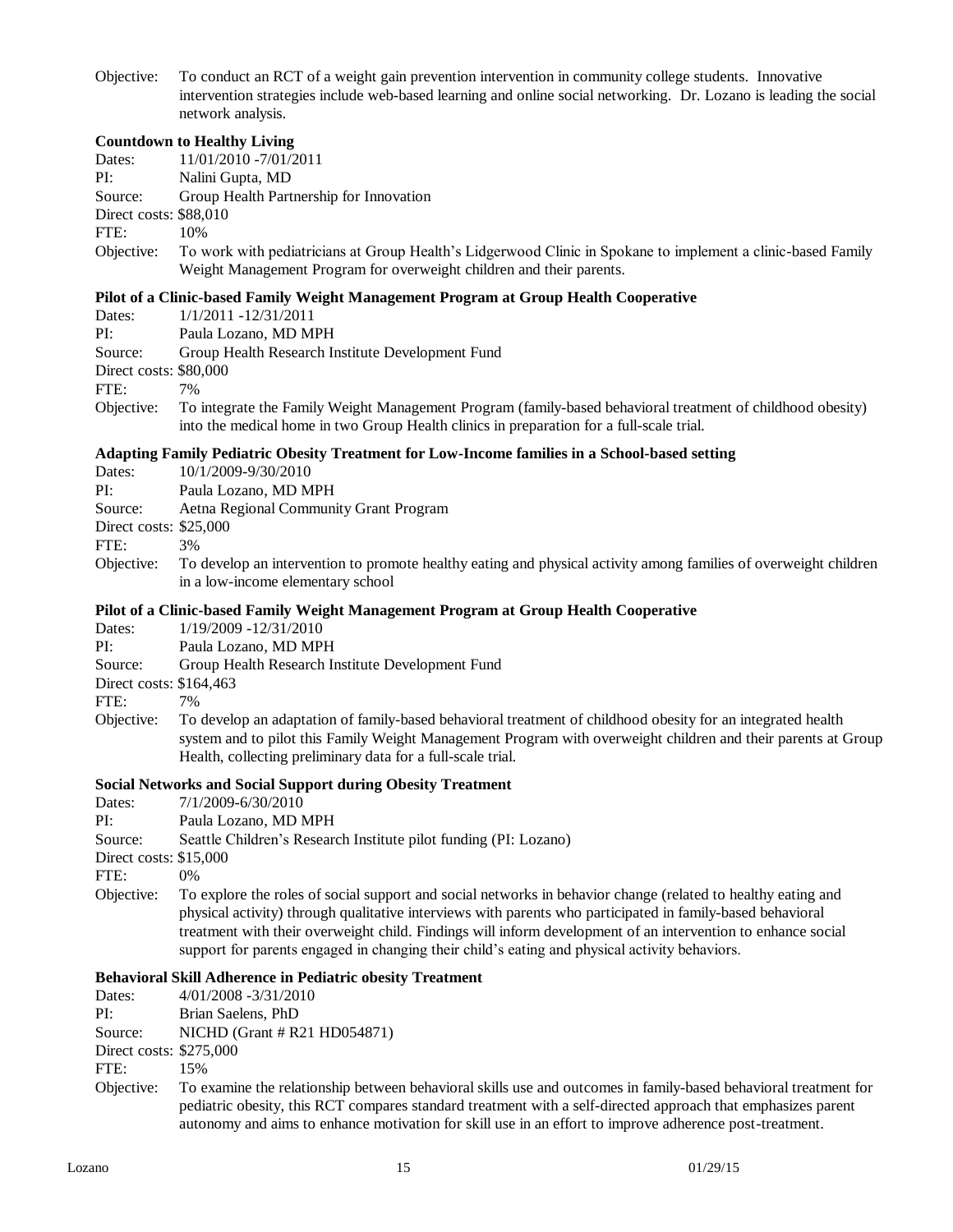Objective: To conduct an RCT of a weight gain prevention intervention in community college students. Innovative intervention strategies include web-based learning and online social networking. Dr. Lozano is leading the social network analysis.

#### **Countdown to Healthy Living**

| Dates: | 11/01/2010 -7/01/2011 |
|--------|-----------------------|
| PI:    | Nalini Gupta, MD      |

Source: Group Health Partnership for Innovation

Direct costs: \$88,010

FTE: 10%

Objective: To work with pediatricians at Group Health's Lidgerwood Clinic in Spokane to implement a clinic-based Family Weight Management Program for overweight children and their parents.

### **Pilot of a Clinic-based Family Weight Management Program at Group Health Cooperative**

Dates: 1/1/2011 -12/31/2011

PI: Paula Lozano, MD MPH

Source: Group Health Research Institute Development Fund

Direct costs: \$80,000

FTE: 7%

Objective: To integrate the Family Weight Management Program (family-based behavioral treatment of childhood obesity) into the medical home in two Group Health clinics in preparation for a full-scale trial.

#### **Adapting Family Pediatric Obesity Treatment for Low-Income families in a School-based setting**

- Dates: 10/1/2009-9/30/2010
- PI: Paula Lozano, MD MPH

Source: Aetna Regional Community Grant Program

- Direct costs: \$25,000
- FTE: 3%
- Objective: To develop an intervention to promote healthy eating and physical activity among families of overweight children in a low-income elementary school

#### **Pilot of a Clinic-based Family Weight Management Program at Group Health Cooperative**

- Dates: 1/19/2009 -12/31/2010
- PI: Paula Lozano, MD MPH
- Source: Group Health Research Institute Development Fund

Direct costs: \$164,463

FTE: 7%

Objective: To develop an adaptation of family-based behavioral treatment of childhood obesity for an integrated health system and to pilot this Family Weight Management Program with overweight children and their parents at Group Health, collecting preliminary data for a full-scale trial.

## **Social Networks and Social Support during Obesity Treatment**

- Dates:  $7/1/2009 6/30/2010$
- PI: Paula Lozano, MD MPH

Source: Seattle Children's Research Institute pilot funding (PI: Lozano)

Direct costs: \$15,000

FTE: 0%

Objective: To explore the roles of social support and social networks in behavior change (related to healthy eating and physical activity) through qualitative interviews with parents who participated in family-based behavioral treatment with their overweight child. Findings will inform development of an intervention to enhance social support for parents engaged in changing their child's eating and physical activity behaviors.

## **Behavioral Skill Adherence in Pediatric obesity Treatment**

| Dates:                  | $4/01/2008 - 3/31/2010$                                                                                         |
|-------------------------|-----------------------------------------------------------------------------------------------------------------|
| PI:                     | Brian Saelens, PhD                                                                                              |
| Source:                 | NICHD (Grant $\#$ R21 HD054871)                                                                                 |
| Direct costs: \$275,000 |                                                                                                                 |
| FTE:                    | 15%                                                                                                             |
| Objective:              | To examine the relationship between behavioral skills use and outcomes in family-based behavioral treatment for |
|                         | pediatric obesity, this RCT compares standard treatment with a self-directed approach that emphasizes parent    |
|                         | autonomy and aims to enhance motivation for skill use in an effort to improve adherence post-treatment.         |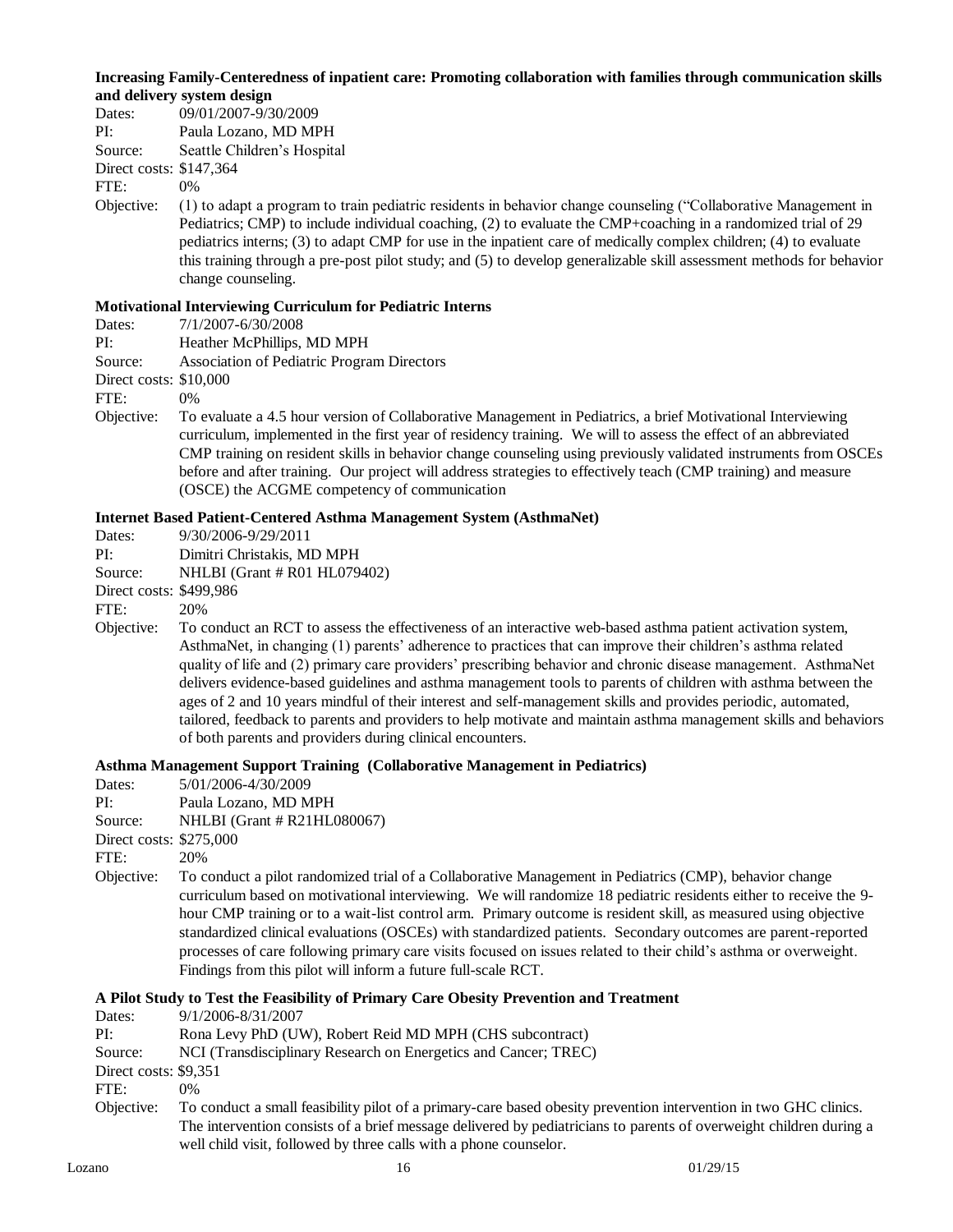#### **Increasing Family-Centeredness of inpatient care: Promoting collaboration with families through communication skills and delivery system design**

| Dates: | 09/01/2007-9/30/2009 |
|--------|----------------------|
| PI:    | Paula Lozano, MD MPH |
|        |                      |

Source: Seattle Children's Hospital

Direct costs: \$147,364

FTE: 0%

Objective: (1) to adapt a program to train pediatric residents in behavior change counseling ("Collaborative Management in Pediatrics; CMP) to include individual coaching, (2) to evaluate the CMP+coaching in a randomized trial of 29 pediatrics interns; (3) to adapt CMP for use in the inpatient care of medically complex children; (4) to evaluate this training through a pre-post pilot study; and (5) to develop generalizable skill assessment methods for behavior change counseling.

## **Motivational Interviewing Curriculum for Pediatric Interns**

- Dates: 7/1/2007-6/30/2008
- PI: Heather McPhillips, MD MPH
- Source: Association of Pediatric Program Directors

Direct costs: \$10,000

FTE: 0%

Objective: To evaluate a 4.5 hour version of Collaborative Management in Pediatrics, a brief Motivational Interviewing curriculum, implemented in the first year of residency training. We will to assess the effect of an abbreviated CMP training on resident skills in behavior change counseling using previously validated instruments from OSCEs before and after training. Our project will address strategies to effectively teach (CMP training) and measure (OSCE) the ACGME competency of communication

## **Internet Based Patient-Centered Asthma Management System (AsthmaNet)**

| Dates:  | 9/30/2006-9/29/2011          |
|---------|------------------------------|
| PI:     | Dimitri Christakis, MD MPH   |
| Source: | NHLBI (Grant # R01 HL079402) |
| $\sim$  |                              |

Direct costs: \$499,986

FTE: 20%

Objective: To conduct an RCT to assess the effectiveness of an interactive web-based asthma patient activation system, AsthmaNet, in changing (1) parents' adherence to practices that can improve their children's asthma related quality of life and (2) primary care providers' prescribing behavior and chronic disease management. AsthmaNet delivers evidence-based guidelines and asthma management tools to parents of children with asthma between the ages of 2 and 10 years mindful of their interest and self-management skills and provides periodic, automated, tailored, feedback to parents and providers to help motivate and maintain asthma management skills and behaviors of both parents and providers during clinical encounters.

## **Asthma Management Support Training (Collaborative Management in Pediatrics)**

- Dates: 5/01/2006-4/30/2009
- PI: Paula Lozano, MD MPH

Source: NHLBI (Grant # R21HL080067)

Direct costs: \$275,000

FTE: 20%

Objective: To conduct a pilot randomized trial of a Collaborative Management in Pediatrics (CMP), behavior change curriculum based on motivational interviewing. We will randomize 18 pediatric residents either to receive the 9 hour CMP training or to a wait-list control arm. Primary outcome is resident skill, as measured using objective standardized clinical evaluations (OSCEs) with standardized patients. Secondary outcomes are parent-reported processes of care following primary care visits focused on issues related to their child's asthma or overweight. Findings from this pilot will inform a future full-scale RCT.

## **A Pilot Study to Test the Feasibility of Primary Care Obesity Prevention and Treatment**

| Dates:                | 9/1/2006-8/31/2007                                                                                                 |
|-----------------------|--------------------------------------------------------------------------------------------------------------------|
| PI:                   | Rona Levy PhD (UW), Robert Reid MD MPH (CHS subcontract)                                                           |
| Source:               | NCI (Transdisciplinary Research on Energetics and Cancer; TREC)                                                    |
| Direct costs: \$9,351 |                                                                                                                    |
| FTE:                  | 0%                                                                                                                 |
| Objective:            | To conduct a small feasibility pilot of a primary-care based obesity prevention intervention in two GHC clinics.   |
|                       | The intervention consists of a brief message delivered by pediatricians to parents of overweight children during a |
|                       | well child visit, followed by three calls with a phone counselor.                                                  |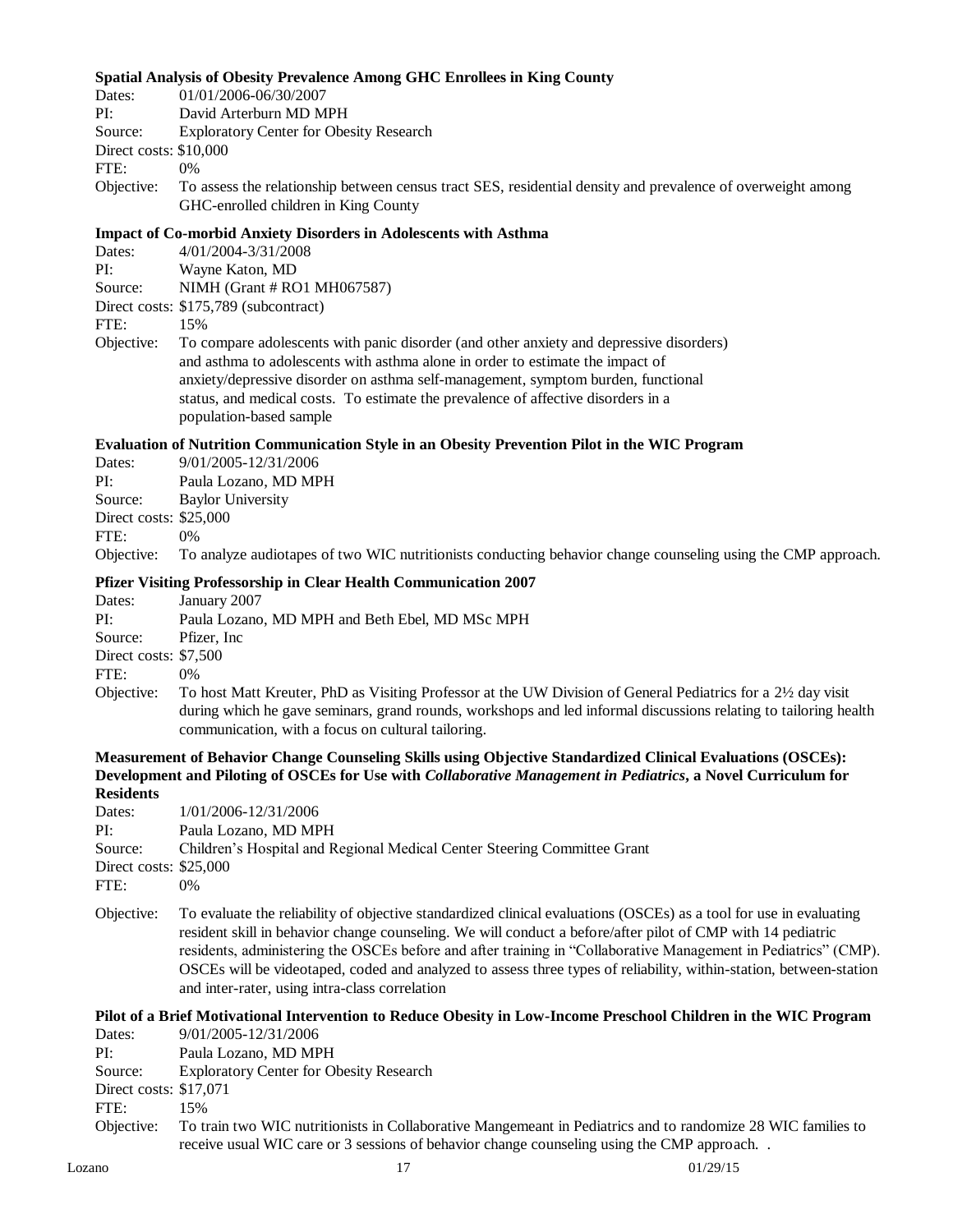## **Spatial Analysis of Obesity Prevalence Among GHC Enrollees in King County**

| 01/01/2006-06/30/2007<br>Dates: |
|---------------------------------|
|---------------------------------|

PI: David Arterburn MD MPH

Source: Exploratory Center for Obesity Research

Direct costs: \$10,000

FTE: 0%

Objective: To assess the relationship between census tract SES, residential density and prevalence of overweight among GHC-enrolled children in King County

#### **Impact of Co-morbid Anxiety Disorders in Adolescents with Asthma**

| Dates: | 4/01/2004-3/31/2008 |
|--------|---------------------|

PI: Wayne Katon, MD

Source: NIMH (Grant # RO1 MH067587)

Direct costs: \$175,789 (subcontract)

FTE: 15%

Objective: To compare adolescents with panic disorder (and other anxiety and depressive disorders) and asthma to adolescents with asthma alone in order to estimate the impact of anxiety/depressive disorder on asthma self-management, symptom burden, functional status, and medical costs. To estimate the prevalence of affective disorders in a population-based sample

## **Evaluation of Nutrition Communication Style in an Obesity Prevention Pilot in the WIC Program**

| Dates:                 | 9/01/2005-12/31/2006                                                                                                    |
|------------------------|-------------------------------------------------------------------------------------------------------------------------|
| PI:                    | Paula Lozano, MD MPH                                                                                                    |
| Source:                | <b>Baylor University</b>                                                                                                |
| Direct costs: \$25,000 |                                                                                                                         |
| ${\rm FTE}$ :          | $0\%$                                                                                                                   |
|                        | Objective: To analyze audiotapes of two WIC nutritionists conducting behavior change counseling using the CMP approach. |

## **Pfizer Visiting Professorship in Clear Health Communication 2007**

| Dates:                | January 2007                                                                                                     |
|-----------------------|------------------------------------------------------------------------------------------------------------------|
| PI:                   | Paula Lozano, MD MPH and Beth Ebel, MD MSc MPH                                                                   |
| Source:               | Pfizer, Inc.                                                                                                     |
| Direct costs: \$7,500 |                                                                                                                  |
| FTE:                  | $0\%$                                                                                                            |
| Objective:            | To host Matt Kreuter, PhD as Visiting Professor at the UW Division of General Pediatrics for a 2½ day visit      |
|                       | during which he gave seminars, grand rounds, workshops and led informal discussions relating to tailoring health |
|                       | communication, with a focus on cultural tailoring.                                                               |

#### **Measurement of Behavior Change Counseling Skills using Objective Standardized Clinical Evaluations (OSCEs): Development and Piloting of OSCEs for Use with** *Collaborative Management in Pediatrics***, a Novel Curriculum for Residents**

| <b>ANUDIULUS</b>       |                                                                          |
|------------------------|--------------------------------------------------------------------------|
| Dates:                 | 1/01/2006-12/31/2006                                                     |
| PI:                    | Paula Lozano, MD MPH                                                     |
| Source:                | Children's Hospital and Regional Medical Center Steering Committee Grant |
| Direct costs: \$25,000 |                                                                          |
| FTE:                   | 0%                                                                       |
|                        |                                                                          |

Objective: To evaluate the reliability of objective standardized clinical evaluations (OSCEs) as a tool for use in evaluating resident skill in behavior change counseling. We will conduct a before/after pilot of CMP with 14 pediatric residents, administering the OSCEs before and after training in "Collaborative Management in Pediatrics" (CMP). OSCEs will be videotaped, coded and analyzed to assess three types of reliability, within-station, between-station and inter-rater, using intra-class correlation

#### **Pilot of a Brief Motivational Intervention to Reduce Obesity in Low-Income Preschool Children in the WIC Program** Dates: 9/01/2005-12/31/2006

| .                       |                                                                                                              |
|-------------------------|--------------------------------------------------------------------------------------------------------------|
| PI:                     | Paula Lozano, MD MPH                                                                                         |
| Source:                 | <b>Exploratory Center for Obesity Research</b>                                                               |
| Direct costs: $$17,071$ |                                                                                                              |
| FTE:                    | 15%                                                                                                          |
| Objective:              | To train two WIC nutritionists in Collaborative Mangemeant in Pediatrics and to randomize 28 WIC families to |
|                         | receive usual WIC care or 3 sessions of behavior change counseling using the CMP approach                    |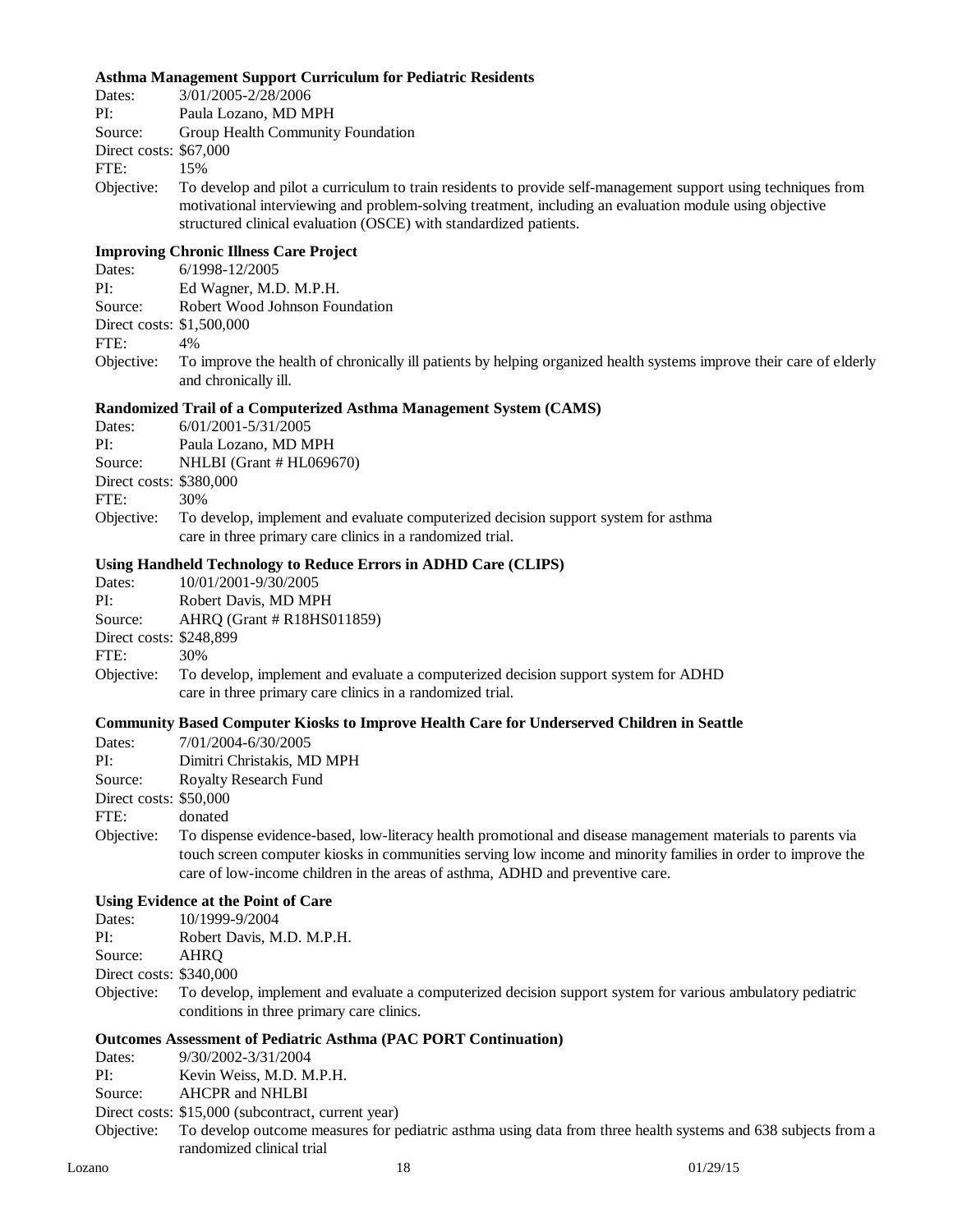#### **Asthma Management Support Curriculum for Pediatric Residents**

| Dates:                    | 3/01/2005-2/28/2006                                                                                                                                                                                                                                                                           |  |  |
|---------------------------|-----------------------------------------------------------------------------------------------------------------------------------------------------------------------------------------------------------------------------------------------------------------------------------------------|--|--|
| PI:                       | Paula Lozano, MD MPH                                                                                                                                                                                                                                                                          |  |  |
| Source:                   | Group Health Community Foundation                                                                                                                                                                                                                                                             |  |  |
| Direct costs: \$67,000    |                                                                                                                                                                                                                                                                                               |  |  |
| FTE:                      | 15%                                                                                                                                                                                                                                                                                           |  |  |
| Objective:                | To develop and pilot a curriculum to train residents to provide self-management support using techniques from<br>motivational interviewing and problem-solving treatment, including an evaluation module using objective<br>structured clinical evaluation (OSCE) with standardized patients. |  |  |
|                           | <b>Improving Chronic Illness Care Project</b>                                                                                                                                                                                                                                                 |  |  |
| Dates:                    | 6/1998-12/2005                                                                                                                                                                                                                                                                                |  |  |
| PI:                       | Ed Wagner, M.D. M.P.H.                                                                                                                                                                                                                                                                        |  |  |
| Source:                   | Robert Wood Johnson Foundation                                                                                                                                                                                                                                                                |  |  |
| Direct costs: \$1,500,000 |                                                                                                                                                                                                                                                                                               |  |  |
| FTE:                      | 4%                                                                                                                                                                                                                                                                                            |  |  |
| Objective:                | To improve the health of chronically ill patients by helping organized health systems improve their care of elderly<br>and chronically ill.                                                                                                                                                   |  |  |
|                           | <b>Randomized Trail of a Computerized Asthma Management System (CAMS)</b>                                                                                                                                                                                                                     |  |  |
| Dates:                    | 6/01/2001-5/31/2005                                                                                                                                                                                                                                                                           |  |  |
| PI:                       | Paula Lozano, MD MPH                                                                                                                                                                                                                                                                          |  |  |

Source: NHLBI (Grant # HL069670)

Direct costs: \$380,000

FTE: 30%

Objective: To develop, implement and evaluate computerized decision support system for asthma care in three primary care clinics in a randomized trial.

#### **Using Handheld Technology to Reduce Errors in ADHD Care (CLIPS)**

| Dates:                  | 10/01/2001-9/30/2005                                                                                                                            |
|-------------------------|-------------------------------------------------------------------------------------------------------------------------------------------------|
| PI:                     | Robert Davis, MD MPH                                                                                                                            |
| Source:                 | $AHRO$ (Grant $#R18HS011859$ )                                                                                                                  |
| Direct costs: \$248,899 |                                                                                                                                                 |
| FTE:                    | 30%                                                                                                                                             |
| Objective:              | To develop, implement and evaluate a computerized decision support system for ADHD<br>care in three primary care clinics in a randomized trial. |

#### **Community Based Computer Kiosks to Improve Health Care for Underserved Children in Seattle**

| Dates:                 | 7/01/2004-6/30/2005                                                                                          |
|------------------------|--------------------------------------------------------------------------------------------------------------|
| PI:                    | Dimitri Christakis, MD MPH                                                                                   |
| Source:                | <b>Royalty Research Fund</b>                                                                                 |
| Direct costs: \$50,000 |                                                                                                              |
| FTE:                   | donated                                                                                                      |
| Objective:             | To dispense evidence-based, low-literacy health promotional and disease management materials to parents via  |
|                        | touch screen computer kiosks in communities serving low income and minority families in order to improve the |
|                        | care of low-income children in the areas of asthma, ADHD and preventive care.                                |
|                        |                                                                                                              |

## **Using Evidence at the Point of Care**

| Dates: | 10/1999-9/2004 |  |  |
|--------|----------------|--|--|
|        |                |  |  |

| PI: | Robert Davis, M.D. M.P.H. |  |
|-----|---------------------------|--|
|     |                           |  |

Source: AHRQ

Direct costs: \$340,000

Objective: To develop, implement and evaluate a computerized decision support system for various ambulatory pediatric conditions in three primary care clinics.

#### **Outcomes Assessment of Pediatric Asthma (PAC PORT Continuation)**

Dates: 9/30/2002-3/31/2004

PI: Kevin Weiss, M.D. M.P.H.

Source: AHCPR and NHLBI

#### Direct costs: \$15,000 (subcontract, current year)

Objective: To develop outcome measures for pediatric asthma using data from three health systems and 638 subjects from a randomized clinical trial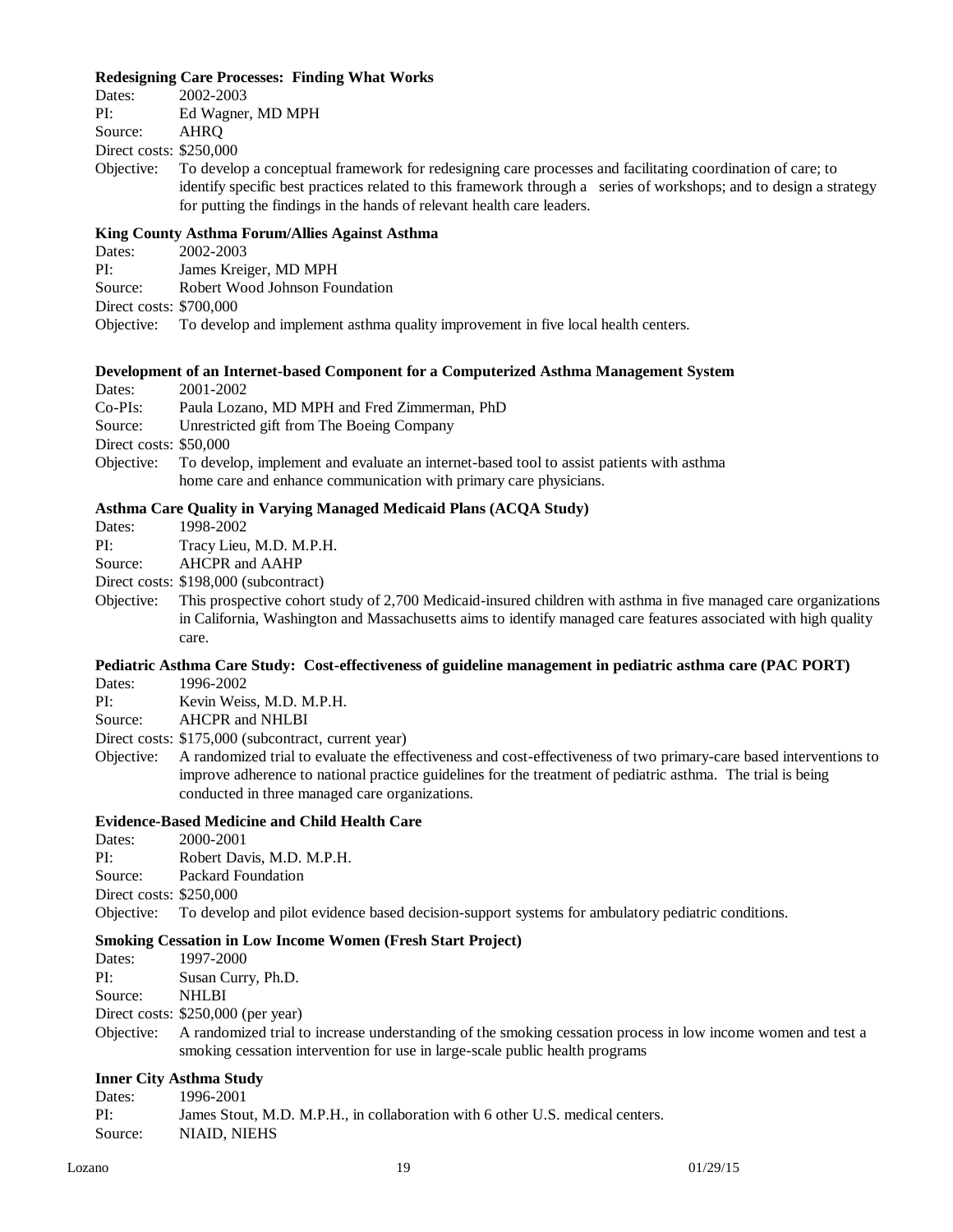#### **Redesigning Care Processes: Finding What Works**

| Dates:                  | 2002-2003                                    |
|-------------------------|----------------------------------------------|
| PI:                     | Ed Wagner, MD MPH                            |
| Source:                 | AHRO                                         |
| Direct costs: \$250,000 |                                              |
|                         | Objective: To develop a conceptual framework |
|                         | identify epocific host proctices relate      |

k for redesigning care processes and facilitating coordination of care; to identify specific best practices related to this framework through a series of workshops; and to design a strategy for putting the findings in the hands of relevant health care leaders.

#### **King County Asthma Forum/Allies Against Asthma**

| Dates:                  | 2002-2003                                                                                    |
|-------------------------|----------------------------------------------------------------------------------------------|
| PI:                     | James Kreiger, MD MPH                                                                        |
| Source:                 | Robert Wood Johnson Foundation                                                               |
| Direct costs: \$700,000 |                                                                                              |
|                         | Objective: To develop and implement asthma quality improvement in five local health centers. |

#### **Development of an Internet-based Component for a Computerized Asthma Management System**

Dates: 2001-2002

| $Co-PIs$ : |  |  | Paula Lozano, MD MPH and Fred Zimmerman, PhD |  |
|------------|--|--|----------------------------------------------|--|
|------------|--|--|----------------------------------------------|--|

Source: Unrestricted gift from The Boeing Company

Direct costs: \$50,000

Objective: To develop, implement and evaluate an internet-based tool to assist patients with asthma home care and enhance communication with primary care physicians.

#### **Asthma Care Quality in Varying Managed Medicaid Plans (ACQA Study)**

Dates: 1998-2002

PI: Tracy Lieu, M.D. M.P.H.

Source: AHCPR and AAHP

Direct costs: \$198,000 (subcontract)

Objective: This prospective cohort study of 2,700 Medicaid-insured children with asthma in five managed care organizations in California, Washington and Massachusetts aims to identify managed care features associated with high quality care.

## **Pediatric Asthma Care Study: Cost-effectiveness of guideline management in pediatric asthma care (PAC PORT)**

Dates: 1996-2002

PI: Kevin Weiss, M.D. M.P.H.

Source: AHCPR and NHLBI

Direct costs: \$175,000 (subcontract, current year)

Objective: A randomized trial to evaluate the effectiveness and cost-effectiveness of two primary-care based interventions to improve adherence to national practice guidelines for the treatment of pediatric asthma. The trial is being conducted in three managed care organizations.

## **Evidence-Based Medicine and Child Health Care**

Dates: 2000-2001 PI: Robert Davis, M.D. M.P.H. Source: Packard Foundation Direct costs: \$250,000

Objective: To develop and pilot evidence based decision-support systems for ambulatory pediatric conditions.

#### **Smoking Cessation in Low Income Women (Fresh Start Project)**

| Dates:  | 1997-2000          |
|---------|--------------------|
| PI:     | Susan Curry, Ph.D. |
| Source: | NHL BI             |

Direct costs: \$250,000 (per year)

Objective: A randomized trial to increase understanding of the smoking cessation process in low income women and test a smoking cessation intervention for use in large-scale public health programs

## **Inner City Asthma Study**

Dates: 1996-2001 PI: James Stout, M.D. M.P.H., in collaboration with 6 other U.S. medical centers. Source: NIAID, NIEHS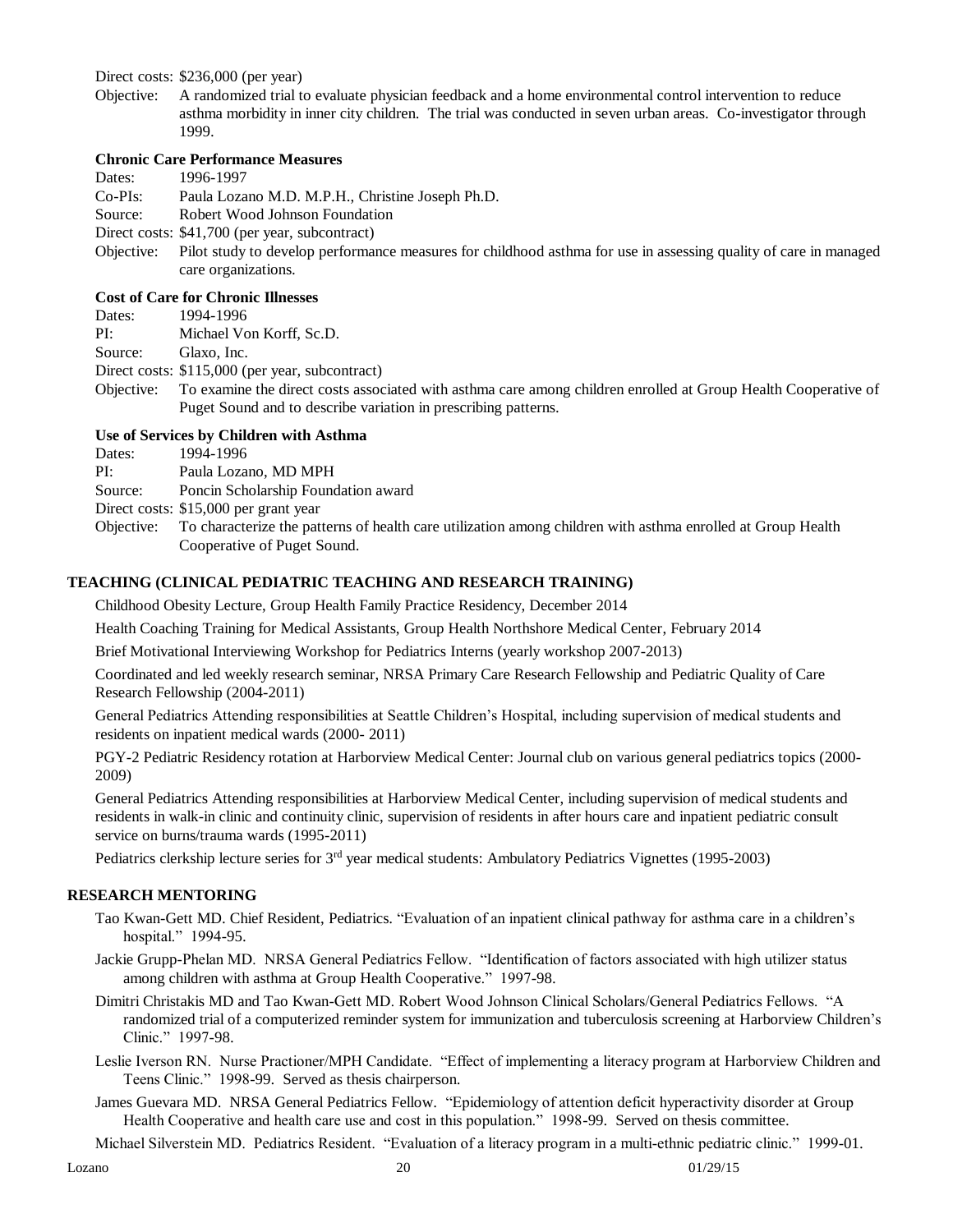#### Direct costs: \$236,000 (per year)

Objective: A randomized trial to evaluate physician feedback and a home environmental control intervention to reduce asthma morbidity in inner city children. The trial was conducted in seven urban areas. Co-investigator through 1999.

#### **Chronic Care Performance Measures**

Dates: 1996-1997

Co-PIs: Paula Lozano M.D. M.P.H., Christine Joseph Ph.D.

- Source: Robert Wood Johnson Foundation
- Direct costs: \$41,700 (per year, subcontract)
- Objective: Pilot study to develop performance measures for childhood asthma for use in assessing quality of care in managed care organizations.

## **Cost of Care for Chronic Illnesses**

Dates: 1994-1996

PI: Michael Von Korff, Sc.D.

Source: Glaxo, Inc.

Direct costs: \$115,000 (per year, subcontract)

Objective: To examine the direct costs associated with asthma care among children enrolled at Group Health Cooperative of Puget Sound and to describe variation in prescribing patterns.

## **Use of Services by Children with Asthma**

Dates: 1994-1996

PI: Paula Lozano, MD MPH

Source: Poncin Scholarship Foundation award

Direct costs: \$15,000 per grant year

Objective: To characterize the patterns of health care utilization among children with asthma enrolled at Group Health Cooperative of Puget Sound.

## **TEACHING (CLINICAL PEDIATRIC TEACHING AND RESEARCH TRAINING)**

Childhood Obesity Lecture, Group Health Family Practice Residency, December 2014

Health Coaching Training for Medical Assistants, Group Health Northshore Medical Center, February 2014

Brief Motivational Interviewing Workshop for Pediatrics Interns (yearly workshop 2007-2013)

Coordinated and led weekly research seminar, NRSA Primary Care Research Fellowship and Pediatric Quality of Care Research Fellowship (2004-2011)

General Pediatrics Attending responsibilities at Seattle Children's Hospital, including supervision of medical students and residents on inpatient medical wards (2000- 2011)

PGY-2 Pediatric Residency rotation at Harborview Medical Center: Journal club on various general pediatrics topics (2000- 2009)

General Pediatrics Attending responsibilities at Harborview Medical Center, including supervision of medical students and residents in walk-in clinic and continuity clinic, supervision of residents in after hours care and inpatient pediatric consult service on burns/trauma wards (1995-2011)

Pediatrics clerkship lecture series for 3rd year medical students: Ambulatory Pediatrics Vignettes (1995-2003)

## **RESEARCH MENTORING**

- Tao Kwan-Gett MD. Chief Resident, Pediatrics. "Evaluation of an inpatient clinical pathway for asthma care in a children's hospital." 1994-95.
- Jackie Grupp-Phelan MD. NRSA General Pediatrics Fellow. "Identification of factors associated with high utilizer status among children with asthma at Group Health Cooperative." 1997-98.
- Dimitri Christakis MD and Tao Kwan-Gett MD. Robert Wood Johnson Clinical Scholars/General Pediatrics Fellows. "A randomized trial of a computerized reminder system for immunization and tuberculosis screening at Harborview Children's Clinic." 1997-98.
- Leslie Iverson RN. Nurse Practioner/MPH Candidate. "Effect of implementing a literacy program at Harborview Children and Teens Clinic." 1998-99. Served as thesis chairperson.
- James Guevara MD. NRSA General Pediatrics Fellow. "Epidemiology of attention deficit hyperactivity disorder at Group Health Cooperative and health care use and cost in this population." 1998-99. Served on thesis committee.

Michael Silverstein MD. Pediatrics Resident. "Evaluation of a literacy program in a multi-ethnic pediatric clinic." 1999-01.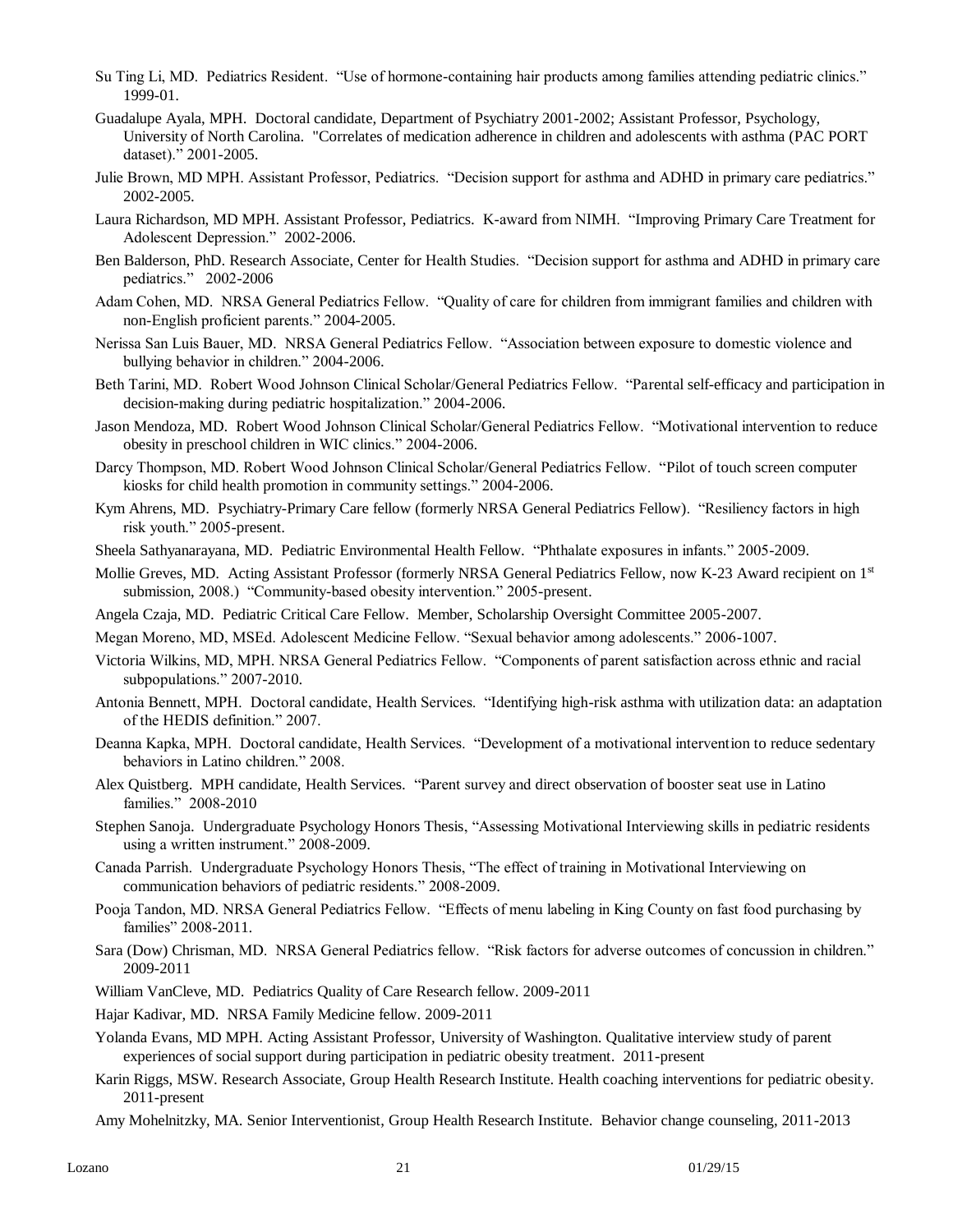- Su Ting Li, MD. Pediatrics Resident. "Use of hormone-containing hair products among families attending pediatric clinics." 1999-01.
- Guadalupe Ayala, MPH. Doctoral candidate, Department of Psychiatry 2001-2002; Assistant Professor, Psychology, University of North Carolina. "Correlates of medication adherence in children and adolescents with asthma (PAC PORT dataset)." 2001-2005.
- Julie Brown, MD MPH. Assistant Professor, Pediatrics. "Decision support for asthma and ADHD in primary care pediatrics." 2002-2005.
- Laura Richardson, MD MPH. Assistant Professor, Pediatrics. K-award from NIMH. "Improving Primary Care Treatment for Adolescent Depression." 2002-2006.
- Ben Balderson, PhD. Research Associate, Center for Health Studies. "Decision support for asthma and ADHD in primary care pediatrics." 2002-2006
- Adam Cohen, MD. NRSA General Pediatrics Fellow. "Quality of care for children from immigrant families and children with non-English proficient parents." 2004-2005.
- Nerissa San Luis Bauer, MD. NRSA General Pediatrics Fellow. "Association between exposure to domestic violence and bullying behavior in children." 2004-2006.
- Beth Tarini, MD. Robert Wood Johnson Clinical Scholar/General Pediatrics Fellow. "Parental self-efficacy and participation in decision-making during pediatric hospitalization." 2004-2006.
- Jason Mendoza, MD. Robert Wood Johnson Clinical Scholar/General Pediatrics Fellow. "Motivational intervention to reduce obesity in preschool children in WIC clinics." 2004-2006.
- Darcy Thompson, MD. Robert Wood Johnson Clinical Scholar/General Pediatrics Fellow. "Pilot of touch screen computer kiosks for child health promotion in community settings." 2004-2006.
- Kym Ahrens, MD. Psychiatry-Primary Care fellow (formerly NRSA General Pediatrics Fellow). "Resiliency factors in high risk youth." 2005-present.
- Sheela Sathyanarayana, MD. Pediatric Environmental Health Fellow. "Phthalate exposures in infants." 2005-2009.
- Mollie Greves, MD. Acting Assistant Professor (formerly NRSA General Pediatrics Fellow, now K-23 Award recipient on 1<sup>st</sup> submission, 2008.) "Community-based obesity intervention." 2005-present.
- Angela Czaja, MD. Pediatric Critical Care Fellow. Member, Scholarship Oversight Committee 2005-2007.
- Megan Moreno, MD, MSEd. Adolescent Medicine Fellow. "Sexual behavior among adolescents." 2006-1007.
- Victoria Wilkins, MD, MPH. NRSA General Pediatrics Fellow. "Components of parent satisfaction across ethnic and racial subpopulations." 2007-2010.
- Antonia Bennett, MPH. Doctoral candidate, Health Services. "Identifying high-risk asthma with utilization data: an adaptation of the HEDIS definition." 2007.
- Deanna Kapka, MPH. Doctoral candidate, Health Services. "Development of a motivational intervention to reduce sedentary behaviors in Latino children." 2008.
- Alex Quistberg. MPH candidate, Health Services. "Parent survey and direct observation of booster seat use in Latino families." 2008-2010
- Stephen Sanoja. Undergraduate Psychology Honors Thesis, "Assessing Motivational Interviewing skills in pediatric residents using a written instrument." 2008-2009.
- Canada Parrish. Undergraduate Psychology Honors Thesis, "The effect of training in Motivational Interviewing on communication behaviors of pediatric residents." 2008-2009.
- Pooja Tandon, MD. NRSA General Pediatrics Fellow. "Effects of menu labeling in King County on fast food purchasing by families" 2008-2011.
- Sara (Dow) Chrisman, MD. NRSA General Pediatrics fellow. "Risk factors for adverse outcomes of concussion in children." 2009-2011
- William VanCleve, MD. Pediatrics Quality of Care Research fellow. 2009-2011

Hajar Kadivar, MD. NRSA Family Medicine fellow. 2009-2011

- Yolanda Evans, MD MPH. Acting Assistant Professor, University of Washington. Qualitative interview study of parent experiences of social support during participation in pediatric obesity treatment. 2011-present
- Karin Riggs, MSW. Research Associate, Group Health Research Institute. Health coaching interventions for pediatric obesity. 2011-present
- Amy Mohelnitzky, MA. Senior Interventionist, Group Health Research Institute. Behavior change counseling, 2011-2013